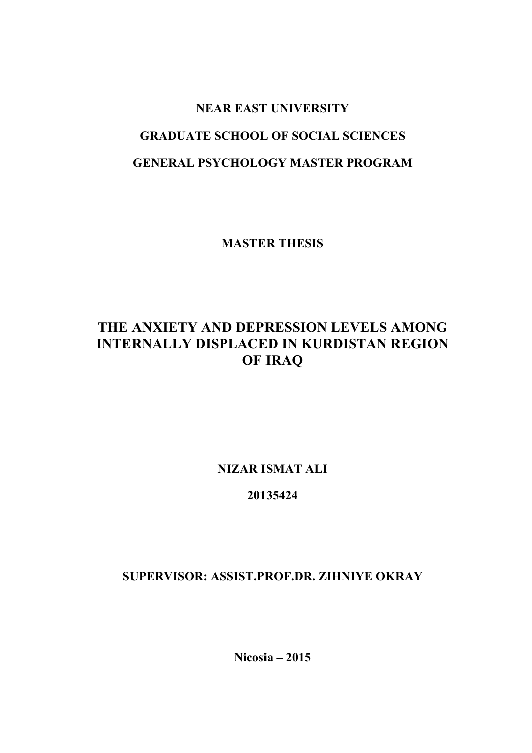# **NEAR EAST UNIVERSITY GRADUATE SCHOOL OF SOCIAL SCIENCES GENERAL PSYCHOLOGY MASTER PROGRAM**

**MASTER THESIS**

# **THE ANXIETY AND DEPRESSION LEVELS AMONG INTERNALLY DISPLACED IN KURDISTAN REGION OF IRAQ**

**NIZAR ISMAT ALI**

# **20135424**

**SUPERVISOR: ASSIST.PROF.DR. ZIHNIYE OKRAY**

**Nicosia – 2015**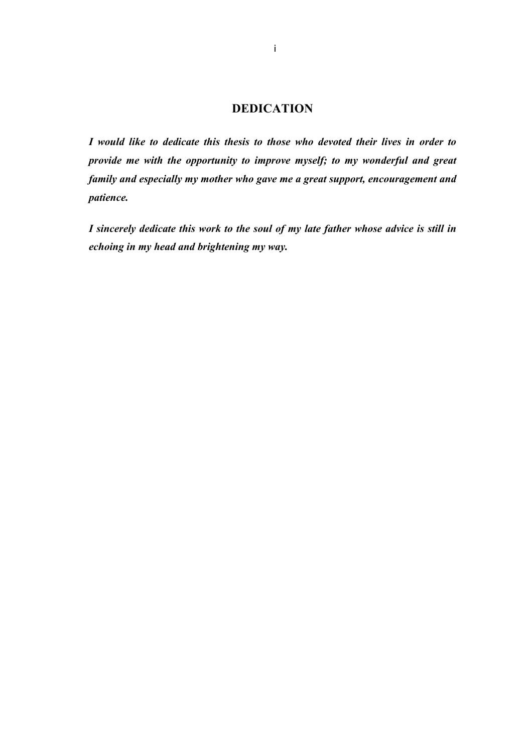# **DEDICATION**

*I would like to dedicate this thesis to those who devoted their lives in order to provide me with the opportunity to improve myself; to my wonderful and great family and especially my mother who gave me a great support, encouragement and patience.*

*I sincerely dedicate this work to the soul of my late father whose advice is still in echoing in my head and brightening my way.*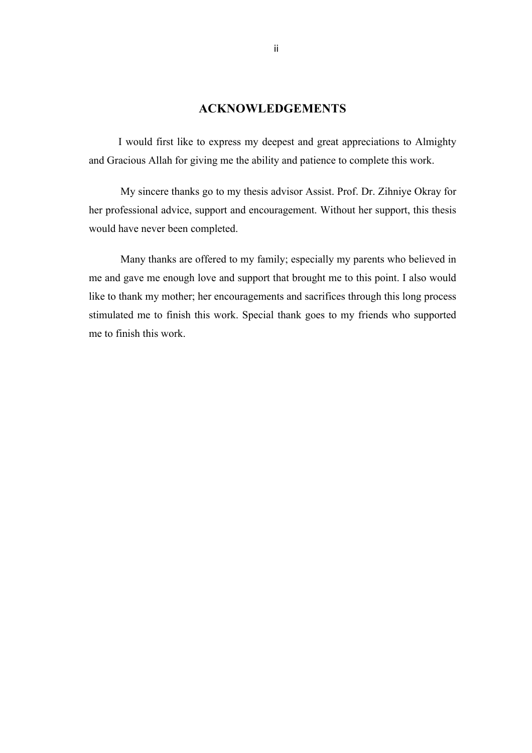# **ACKNOWLEDGEMENTS**

 I would first like to express my deepest and great appreciations to Almighty and Gracious Allah for giving me the ability and patience to complete this work.

My sincere thanks go to my thesis advisor Assist. Prof. Dr. Zihniye Okray for her professional advice, support and encouragement. Without her support, this thesis would have never been completed.

Many thanks are offered to my family; especially my parents who believed in me and gave me enough love and support that brought me to this point. I also would like to thank my mother; her encouragements and sacrifices through this long process stimulated me to finish this work. Special thank goes to my friends who supported me to finish this work.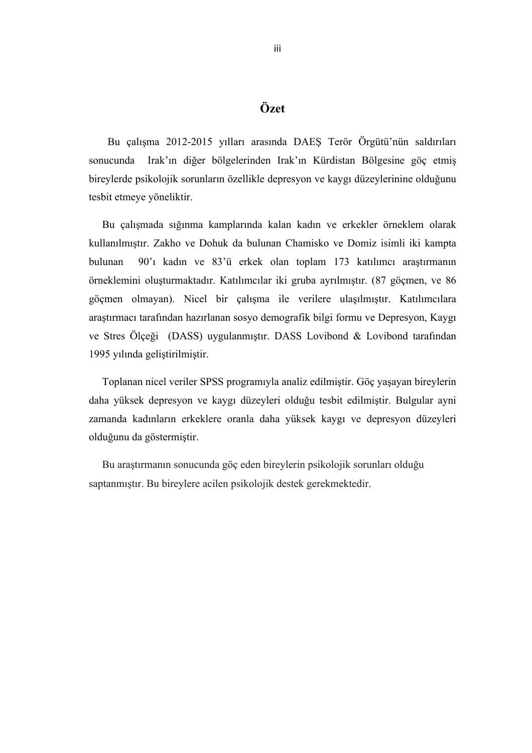# **Özet**

 Bu çalışma 2012-2015 yılları arasında DAEŞ Terör Örgütü'nün saldırıları sonucunda Irak'ın diğer bölgelerinden Irak'ın Kürdistan Bölgesine göç etmiş bireylerde psikolojik sorunların özellikle depresyon ve kaygı düzeylerinine olduğunu tesbit etmeye yöneliktir.

 Bu çalışmada sığınma kamplarında kalan kadın ve erkekler örneklem olarak kullanılmıştır. Zakho ve Dohuk da bulunan Chamisko ve Domiz isimli iki kampta bulunan 90'ı kadın ve 83'ü erkek olan toplam 173 katılımcı araştırmanın örneklemini oluşturmaktadır. Katılımcılar iki gruba ayrılmıştır. (87 göçmen, ve 86 göçmen olmayan). Nicel bir çalışma ile verilere ulaşılmıştır. Katılımcılara araştırmacı tarafından hazırlanan sosyo demografik bilgi formu ve Depresyon, Kaygı ve Stres Ölçeği (DASS) uygulanmıştır. DASS Lovibond & Lovibond tarafından 1995 yılında geliştirilmiştir.

 Toplanan nicel veriler SPSS programıyla analiz edilmiştir. Göç yaşayan bireylerin daha yüksek depresyon ve kaygı düzeyleri olduğu tesbit edilmiştir. Bulgular ayni zamanda kadınların erkeklere oranla daha yüksek kaygı ve depresyon düzeyleri olduğunu da göstermiştir.

 Bu araştırmanın sonucunda göç eden bireylerin psikolojik sorunları olduğu saptanmıştır. Bu bireylere acilen psikolojik destek gerekmektedir.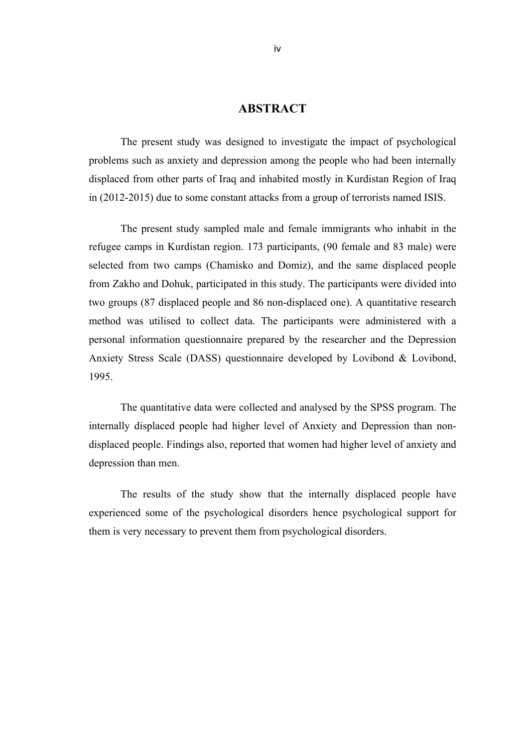# **ABSTRACT**

The present study was designed to investigate the impact of psychological problems such as anxiety and depression among the people who had been internally displaced from other parts of Iraq and inhabited mostly in Kurdistan Region of Iraq in (2012-2015) due to some constant attacks from a group of terrorists named ISIS.

The present study sampled male and female immigrants who inhabit in the refugee camps in Kurdistan region. 173 participants, (90 female and 83 male) were selected from two camps (Chamisko and Domiz), and the same displaced people from Zakho and Dohuk, participated in this study. The participants were divided into two groups (87 displaced people and 86 non-displaced one). A quantitative research method was utilised to collect data. The participants were administered with a personal information questionnaire prepared by the researcher and the Depression Anxiety Stress Scale (DASS) questionnaire developed by Lovibond & Lovibond, 1995.

The quantitative data were collected and analysed by the SPSS program. The internally displaced people had higher level of Anxiety and Depression than nondisplaced people. Findings also, reported that women had higher level of anxiety and depression than men.

The results of the study show that the internally displaced people have experienced some of the psychological disorders hence psychological support for them is very necessary to prevent them from psychological disorders.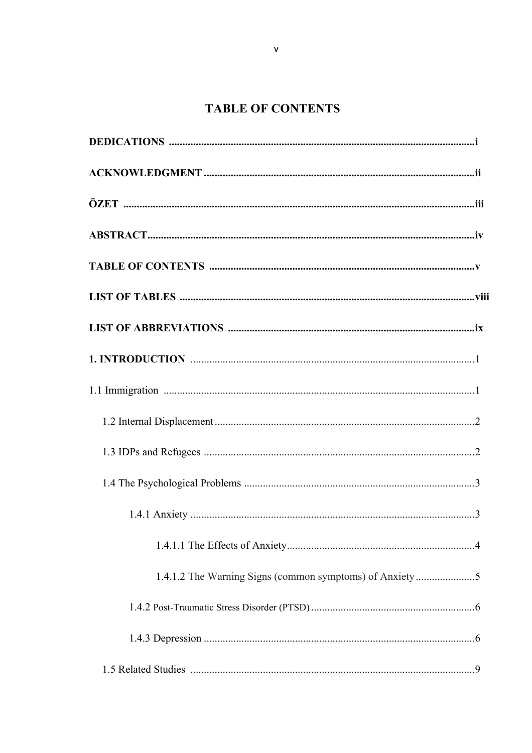# **TABLE OF CONTENTS**

| 1.4.1.2 The Warning Signs (common symptoms) of Anxiety5 |
|---------------------------------------------------------|
|                                                         |
|                                                         |
|                                                         |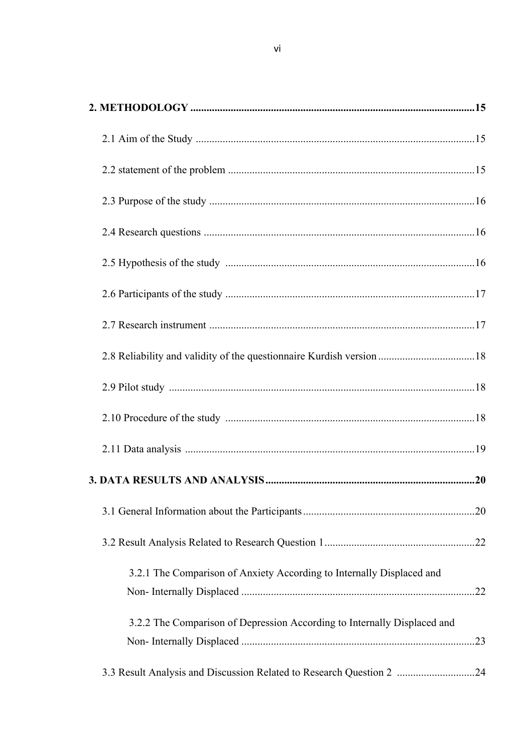| 2.8 Reliability and validity of the questionnaire Kurdish version 18     |  |
|--------------------------------------------------------------------------|--|
|                                                                          |  |
|                                                                          |  |
|                                                                          |  |
|                                                                          |  |
|                                                                          |  |
|                                                                          |  |
| 3.2.1 The Comparison of Anxiety According to Internally Displaced and    |  |
| 3.2.2 The Comparison of Depression According to Internally Displaced and |  |
| 3.3 Result Analysis and Discussion Related to Research Question 2 24     |  |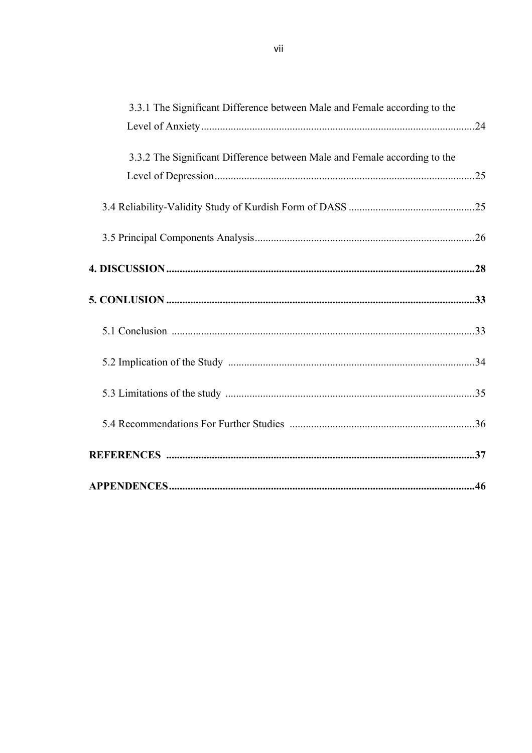| 3.3.1 The Significant Difference between Male and Female according to the |  |
|---------------------------------------------------------------------------|--|
|                                                                           |  |
| 3.3.2 The Significant Difference between Male and Female according to the |  |
|                                                                           |  |
|                                                                           |  |
|                                                                           |  |
|                                                                           |  |
|                                                                           |  |
|                                                                           |  |
|                                                                           |  |
|                                                                           |  |
|                                                                           |  |
|                                                                           |  |
|                                                                           |  |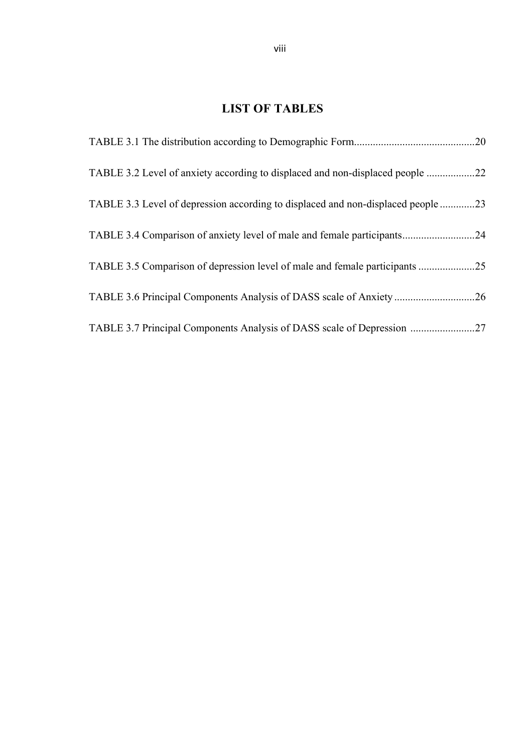# **LIST OF TABLES**

| TABLE 3.2 Level of anxiety according to displaced and non-displaced people    | <b>22</b> |
|-------------------------------------------------------------------------------|-----------|
| TABLE 3.3 Level of depression according to displaced and non-displaced people | .23       |
| TABLE 3.4 Comparison of anxiety level of male and female participants         | .24       |
|                                                                               | .25       |
|                                                                               | .26       |
|                                                                               | 27        |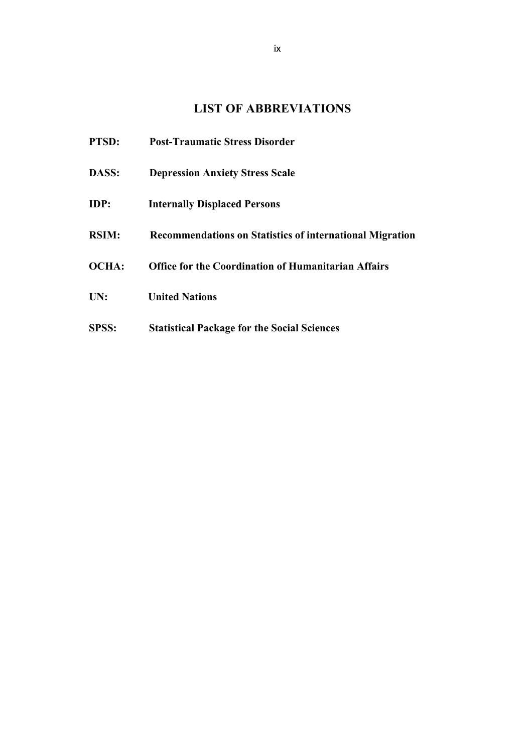# **LIST OF ABBREVIATIONS**

| PTSD:        | <b>Post-Traumatic Stress Disorder</b>                           |
|--------------|-----------------------------------------------------------------|
| DASS:        | <b>Depression Anxiety Stress Scale</b>                          |
| <b>IDP:</b>  | <b>Internally Displaced Persons</b>                             |
| <b>RSIM:</b> | <b>Recommendations on Statistics of international Migration</b> |
| <b>OCHA:</b> | <b>Office for the Coordination of Humanitarian Affairs</b>      |
| UN:          | <b>United Nations</b>                                           |
| SPSS:        | <b>Statistical Package for the Social Sciences</b>              |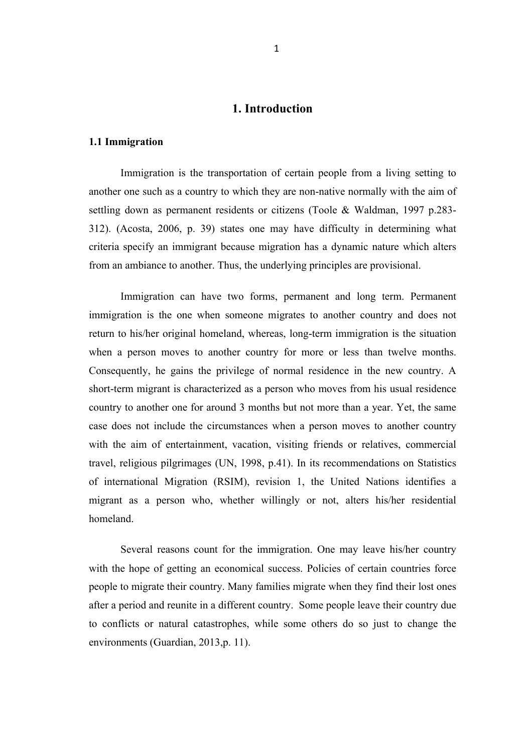# **1. Introduction**

#### **1.1 Immigration**

Immigration is the transportation of certain people from a living setting to another one such as a country to which they are non-native normally with the aim of settling down as permanent residents or citizens (Toole & Waldman, 1997 p.283- 312). (Acosta, 2006, p. 39) states one may have difficulty in determining what criteria specify an immigrant because migration has a dynamic nature which alters from an ambiance to another. Thus, the underlying principles are provisional.

Immigration can have two forms, permanent and long term. Permanent immigration is the one when someone migrates to another country and does not return to his/her original homeland, whereas, long-term immigration is the situation when a person moves to another country for more or less than twelve months. Consequently, he gains the privilege of normal residence in the new country. A short-term migrant is characterized as a person who moves from his usual residence country to another one for around 3 months but not more than a year. Yet, the same case does not include the circumstances when a person moves to another country with the aim of entertainment, vacation, visiting friends or relatives, commercial travel, religious pilgrimages (UN, 1998, p.41). In its recommendations on Statistics of international Migration (RSIM), revision 1, the United Nations identifies a migrant as a person who, whether willingly or not, alters his/her residential homeland.

Several reasons count for the immigration. One may leave his/her country with the hope of getting an economical success. Policies of certain countries force people to migrate their country. Many families migrate when they find their lost ones after a period and reunite in a different country. Some people leave their country due to conflicts or natural catastrophes, while some others do so just to change the environments (Guardian, 2013,p. 11).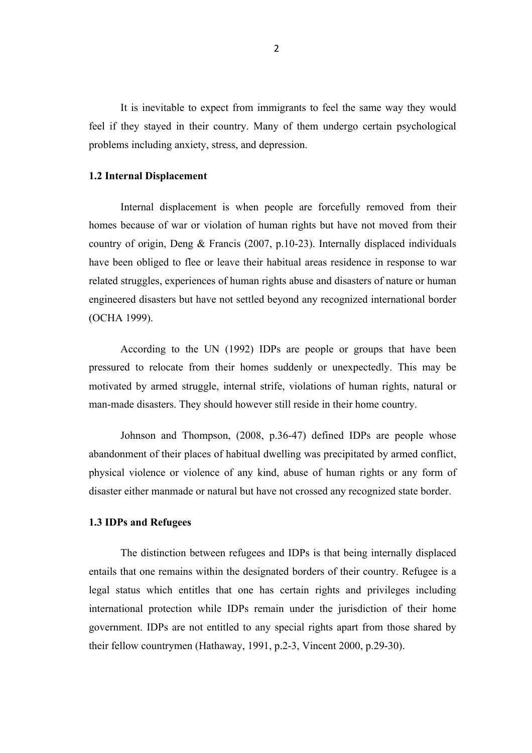It is inevitable to expect from immigrants to feel the same way they would feel if they stayed in their country. Many of them undergo certain psychological problems including anxiety, stress, and depression.

#### **1.2 Internal Displacement**

Internal displacement is when people are forcefully removed from their homes because of war or violation of human rights but have not moved from their country of origin, Deng & Francis (2007, p.10-23). Internally displaced individuals have been obliged to flee or leave their habitual areas residence in response to war related struggles, experiences of human rights abuse and disasters of nature or human engineered disasters but have not settled beyond any recognized international border (OCHA 1999).

According to the UN (1992) IDPs are people or groups that have been pressured to relocate from their homes suddenly or unexpectedly. This may be motivated by armed struggle, internal strife, violations of human rights, natural or man-made disasters. They should however still reside in their home country.

Johnson and Thompson, (2008, p.36-47) defined IDPs are people whose abandonment of their places of habitual dwelling was precipitated by armed conflict, physical violence or violence of any kind, abuse of human rights or any form of disaster either manmade or natural but have not crossed any recognized state border.

#### **1.3 IDPs and Refugees**

The distinction between refugees and IDPs is that being internally displaced entails that one remains within the designated borders of their country. Refugee is a legal status which entitles that one has certain rights and privileges including international protection while IDPs remain under the jurisdiction of their home government. IDPs are not entitled to any special rights apart from those shared by their fellow countrymen (Hathaway, 1991, p.2-3, Vincent 2000, p.29-30).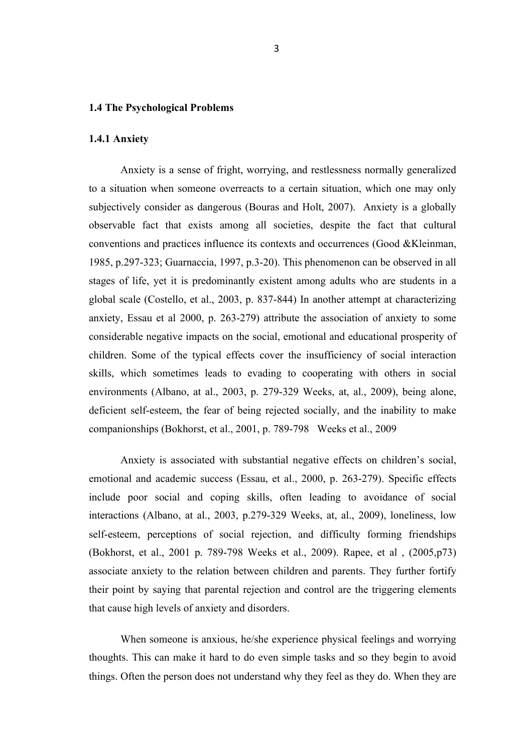#### **1.4 The Psychological Problems**

#### **1.4.1 Anxiety**

Anxiety is a sense of fright, worrying, and restlessness normally generalized to a situation when someone overreacts to a certain situation, which one may only subjectively consider as dangerous (Bouras and Holt, 2007). Anxiety is a globally observable fact that exists among all societies, despite the fact that cultural conventions and practices influence its contexts and occurrences (Good &Kleinman, 1985, p.297-323; Guarnaccia, 1997, p.3-20). This phenomenon can be observed in all stages of life, yet it is predominantly existent among adults who are students in a global scale (Costello, et al., 2003, p. 837-844) In another attempt at characterizing anxiety, Essau et al 2000, p. 263-279) attribute the association of anxiety to some considerable negative impacts on the social, emotional and educational prosperity of children. Some of the typical effects cover the insufficiency of social interaction skills, which sometimes leads to evading to cooperating with others in social environments (Albano, at al., 2003, p. 279-329 Weeks, at, al., 2009), being alone, deficient self-esteem, the fear of being rejected socially, and the inability to make companionships (Bokhorst, et al., 2001, p. 789-798 Weeks et al., 2009

Anxiety is associated with substantial negative effects on children's social, emotional and academic success (Essau, et al., 2000, p. 263-279). Specific effects include poor social and coping skills, often leading to avoidance of social interactions (Albano, at al., 2003, p.279-329 Weeks, at, al., 2009), loneliness, low self-esteem, perceptions of social rejection, and difficulty forming friendships (Bokhorst, et al., 2001 p. 789-798 Weeks et al., 2009). Rapee, et al , (2005,p73) associate anxiety to the relation between children and parents. They further fortify their point by saying that parental rejection and control are the triggering elements that cause high levels of anxiety and disorders.

When someone is anxious, he/she experience physical feelings and worrying thoughts. This can make it hard to do even simple tasks and so they begin to avoid things. Often the person does not understand why they feel as they do. When they are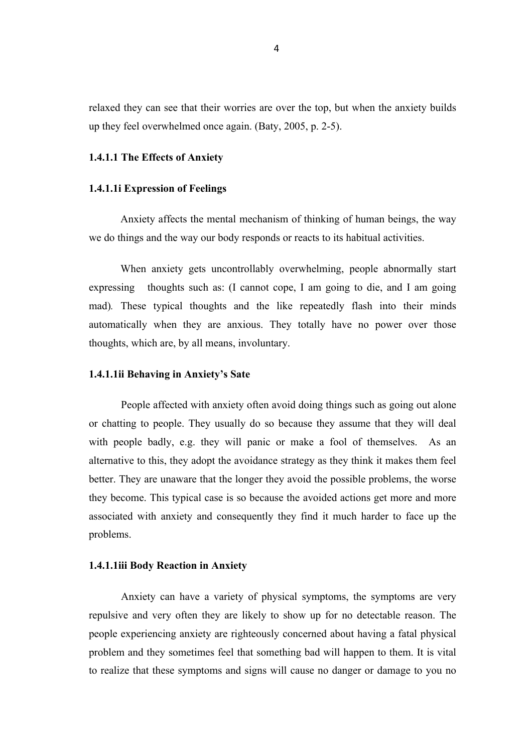relaxed they can see that their worries are over the top, but when the anxiety builds up they feel overwhelmed once again. (Baty, 2005, p. 2-5).

#### **1.4.1.1 The Effects of Anxiety**

#### **1.4.1.1i Expression of Feelings**

Anxiety affects the mental mechanism of thinking of human beings, the way we do things and the way our body responds or reacts to its habitual activities.

When anxiety gets uncontrollably overwhelming, people abnormally start expressing thoughts such as: (I cannot cope, I am going to die, and I am going mad)*.* These typical thoughts and the like repeatedly flash into their minds automatically when they are anxious. They totally have no power over those thoughts, which are, by all means, involuntary.

#### **1.4.1.1ii Behaving in Anxiety's Sate**

People affected with anxiety often avoid doing things such as going out alone or chatting to people. They usually do so because they assume that they will deal with people badly, e.g. they will panic or make a fool of themselves. As an alternative to this, they adopt the avoidance strategy as they think it makes them feel better. They are unaware that the longer they avoid the possible problems, the worse they become. This typical case is so because the avoided actions get more and more associated with anxiety and consequently they find it much harder to face up the problems.

#### **1.4.1.1iii Body Reaction in Anxiety**

Anxiety can have a variety of physical symptoms, the symptoms are very repulsive and very often they are likely to show up for no detectable reason. The people experiencing anxiety are righteously concerned about having a fatal physical problem and they sometimes feel that something bad will happen to them. It is vital to realize that these symptoms and signs will cause no danger or damage to you no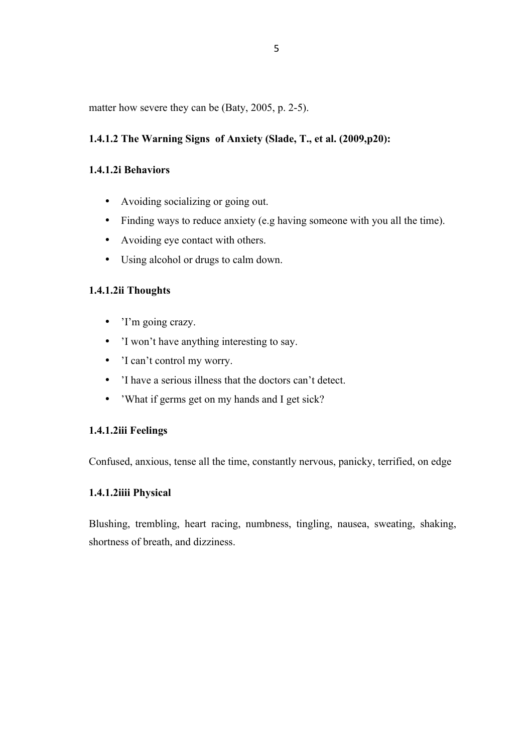matter how severe they can be (Baty, 2005, p. 2-5).

# **1.4.1.2 The Warning Signs of Anxiety (Slade, T., et al. (2009,p20):**

## **1.4.1.2i Behaviors**

- Avoiding socializing or going out.
- Finding ways to reduce anxiety (e.g having someone with you all the time).
- Avoiding eye contact with others.
- Using alcohol or drugs to calm down.

## **1.4.1.2ii Thoughts**

- 'I'm going crazy.
- 'I won't have anything interesting to say.
- 'I can't control my worry.
- 'I have a serious illness that the doctors can't detect.
- 'What if germs get on my hands and I get sick?

## **1.4.1.2iii Feelings**

Confused, anxious, tense all the time, constantly nervous, panicky, terrified, on edge

## **1.4.1.2iiii Physical**

Blushing, trembling, heart racing, numbness, tingling, nausea, sweating, shaking, shortness of breath, and dizziness.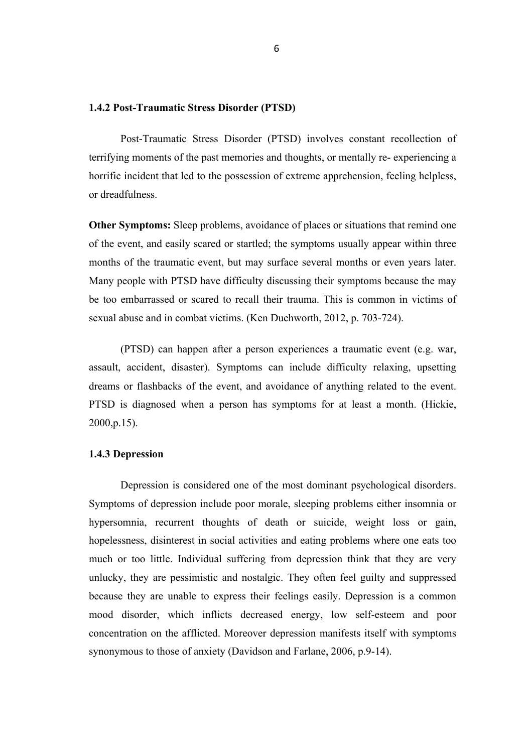#### **1.4.2 Post-Traumatic Stress Disorder (PTSD)**

Post-Traumatic Stress Disorder (PTSD) involves constant recollection of terrifying moments of the past memories and thoughts, or mentally re- experiencing a horrific incident that led to the possession of extreme apprehension, feeling helpless, or dreadfulness.

**Other Symptoms:** Sleep problems, avoidance of places or situations that remind one of the event, and easily scared or startled; the symptoms usually appear within three months of the traumatic event, but may surface several months or even years later. Many people with PTSD have difficulty discussing their symptoms because the may be too embarrassed or scared to recall their trauma. This is common in victims of sexual abuse and in combat victims. (Ken Duchworth, 2012, p. 703-724).

(PTSD) can happen after a person experiences a traumatic event (e.g. war, assault, accident, disaster). Symptoms can include difficulty relaxing, upsetting dreams or flashbacks of the event, and avoidance of anything related to the event. PTSD is diagnosed when a person has symptoms for at least a month. (Hickie, 2000,p.15).

#### **1.4.3 Depression**

Depression is considered one of the most dominant psychological disorders. Symptoms of depression include poor morale, sleeping problems either insomnia or hypersomnia, recurrent thoughts of death or suicide, weight loss or gain, hopelessness, disinterest in social activities and eating problems where one eats too much or too little. Individual suffering from depression think that they are very unlucky, they are pessimistic and nostalgic. They often feel guilty and suppressed because they are unable to express their feelings easily. Depression is a common mood disorder, which inflicts decreased energy, low self-esteem and poor concentration on the afflicted. Moreover depression manifests itself with symptoms synonymous to those of anxiety (Davidson and Farlane, 2006, p.9-14).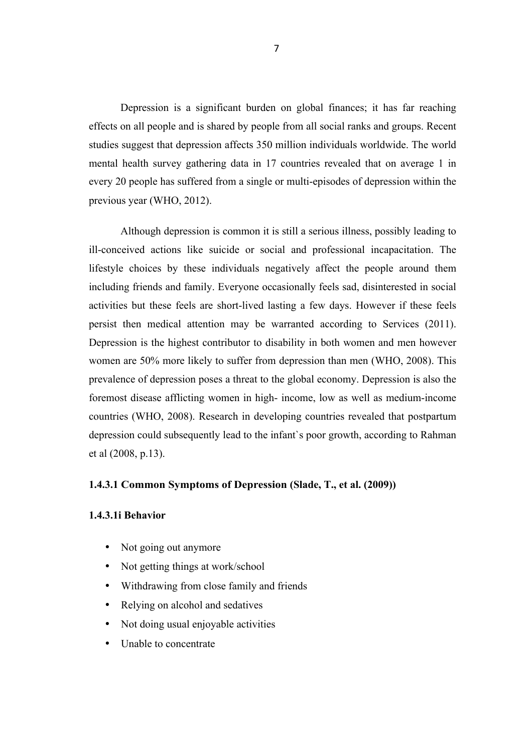Depression is a significant burden on global finances; it has far reaching effects on all people and is shared by people from all social ranks and groups. Recent studies suggest that depression affects 350 million individuals worldwide. The world mental health survey gathering data in 17 countries revealed that on average 1 in every 20 people has suffered from a single or multi-episodes of depression within the previous year (WHO, 2012).

Although depression is common it is still a serious illness, possibly leading to ill-conceived actions like suicide or social and professional incapacitation. The lifestyle choices by these individuals negatively affect the people around them including friends and family. Everyone occasionally feels sad, disinterested in social activities but these feels are short-lived lasting a few days. However if these feels persist then medical attention may be warranted according to Services (2011). Depression is the highest contributor to disability in both women and men however women are 50% more likely to suffer from depression than men (WHO, 2008). This prevalence of depression poses a threat to the global economy. Depression is also the foremost disease afflicting women in high- income, low as well as medium-income countries (WHO, 2008). Research in developing countries revealed that postpartum depression could subsequently lead to the infant`s poor growth, according to Rahman et al (2008, p.13).

#### **1.4.3.1 Common Symptoms of Depression (Slade, T., et al. (2009))**

#### **1.4.3.1i Behavior**

- Not going out anymore
- Not getting things at work/school
- Withdrawing from close family and friends
- Relying on alcohol and sedatives
- Not doing usual enjoyable activities
- Unable to concentrate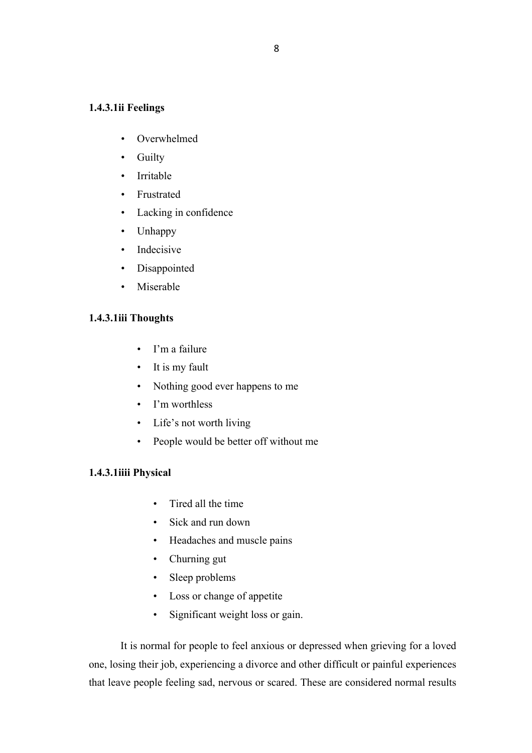### **1.4.3.1ii Feelings**

- Overwhelmed
- Guilty
- Irritable
- Frustrated
- Lacking in confidence
- Unhappy
- Indecisive
- Disappointed
- Miserable

#### **1.4.3.1iii Thoughts**

- I'm a failure
- It is my fault
- Nothing good ever happens to me
- I'm worthless
- Life's not worth living
- People would be better off without me

## **1.4.3.1iiii Physical**

- Tired all the time
- Sick and run down
- Headaches and muscle pains
- Churning gut
- Sleep problems
- Loss or change of appetite
- Significant weight loss or gain.

It is normal for people to feel anxious or depressed when grieving for a loved one, losing their job, experiencing a divorce and other difficult or painful experiences that leave people feeling sad, nervous or scared. These are considered normal results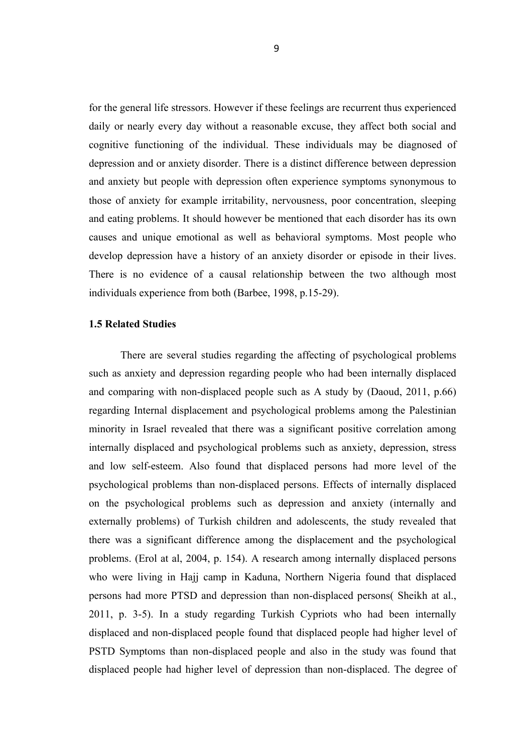for the general life stressors. However if these feelings are recurrent thus experienced daily or nearly every day without a reasonable excuse, they affect both social and cognitive functioning of the individual. These individuals may be diagnosed of depression and or anxiety disorder. There is a distinct difference between depression and anxiety but people with depression often experience symptoms synonymous to those of anxiety for example irritability, nervousness, poor concentration, sleeping and eating problems. It should however be mentioned that each disorder has its own causes and unique emotional as well as behavioral symptoms. Most people who develop depression have a history of an anxiety disorder or episode in their lives. There is no evidence of a causal relationship between the two although most individuals experience from both (Barbee, 1998, p.15-29).

#### **1.5 Related Studies**

There are several studies regarding the affecting of psychological problems such as anxiety and depression regarding people who had been internally displaced and comparing with non-displaced people such as A study by (Daoud, 2011, p.66) regarding Internal displacement and psychological problems among the Palestinian minority in Israel revealed that there was a significant positive correlation among internally displaced and psychological problems such as anxiety, depression, stress and low self-esteem. Also found that displaced persons had more level of the psychological problems than non-displaced persons. Effects of internally displaced on the psychological problems such as depression and anxiety (internally and externally problems) of Turkish children and adolescents, the study revealed that there was a significant difference among the displacement and the psychological problems. (Erol at al, 2004, p. 154). A research among internally displaced persons who were living in Hajj camp in Kaduna, Northern Nigeria found that displaced persons had more PTSD and depression than non-displaced persons( Sheikh at al., 2011, p. 3-5). In a study regarding Turkish Cypriots who had been internally displaced and non-displaced people found that displaced people had higher level of PSTD Symptoms than non-displaced people and also in the study was found that displaced people had higher level of depression than non-displaced. The degree of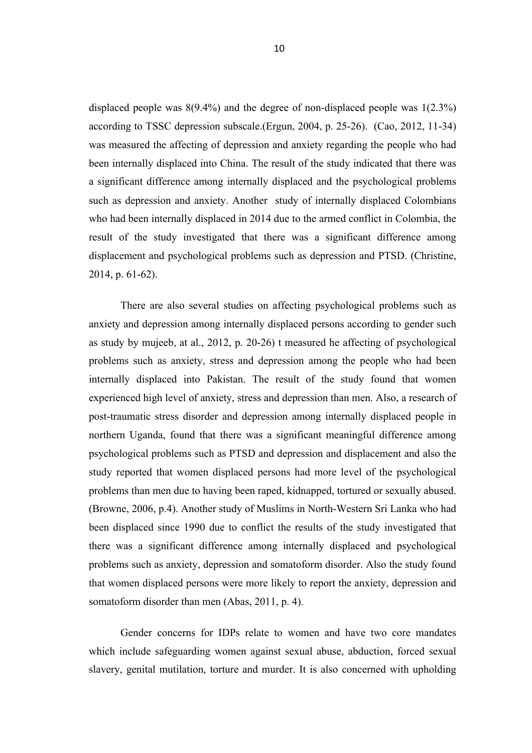displaced people was 8(9.4%) and the degree of non-displaced people was 1(2.3%) according to TSSC depression subscale.(Ergun, 2004, p. 25-26). (Cao, 2012, 11-34) was measured the affecting of depression and anxiety regarding the people who had been internally displaced into China. The result of the study indicated that there was a significant difference among internally displaced and the psychological problems such as depression and anxiety. Another study of internally displaced Colombians who had been internally displaced in 2014 due to the armed conflict in Colombia, the result of the study investigated that there was a significant difference among displacement and psychological problems such as depression and PTSD. (Christine, 2014, p. 61-62).

There are also several studies on affecting psychological problems such as anxiety and depression among internally displaced persons according to gender such as study by mujeeb, at al., 2012, p. 20-26) t measured he affecting of psychological problems such as anxiety, stress and depression among the people who had been internally displaced into Pakistan. The result of the study found that women experienced high level of anxiety, stress and depression than men. Also, a research of post-traumatic stress disorder and depression among internally displaced people in northern Uganda, found that there was a significant meaningful difference among psychological problems such as PTSD and depression and displacement and also the study reported that women displaced persons had more level of the psychological problems than men due to having been raped, kidnapped, tortured or sexually abused. (Browne, 2006, p.4). Another study of Muslims in North-Western Sri Lanka who had been displaced since 1990 due to conflict the results of the study investigated that there was a significant difference among internally displaced and psychological problems such as anxiety, depression and somatoform disorder. Also the study found that women displaced persons were more likely to report the anxiety, depression and somatoform disorder than men (Abas, 2011, p. 4).

Gender concerns for IDPs relate to women and have two core mandates which include safeguarding women against sexual abuse, abduction, forced sexual slavery, genital mutilation, torture and murder. It is also concerned with upholding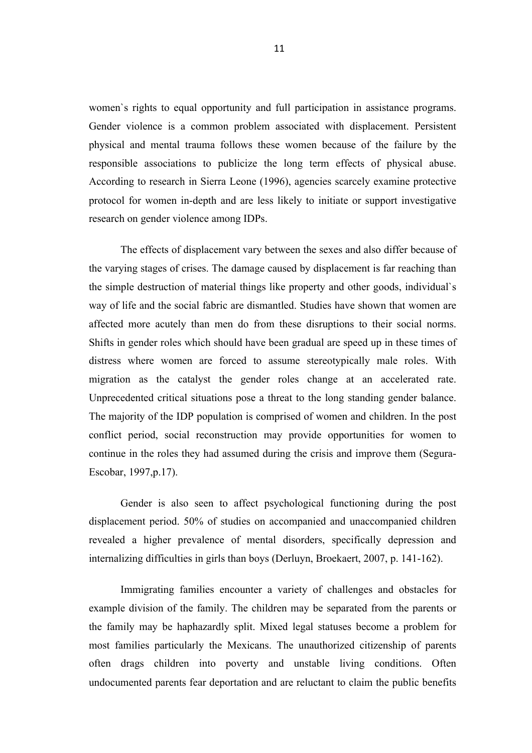women`s rights to equal opportunity and full participation in assistance programs. Gender violence is a common problem associated with displacement. Persistent physical and mental trauma follows these women because of the failure by the responsible associations to publicize the long term effects of physical abuse. According to research in Sierra Leone (1996), agencies scarcely examine protective protocol for women in-depth and are less likely to initiate or support investigative research on gender violence among IDPs.

The effects of displacement vary between the sexes and also differ because of the varying stages of crises. The damage caused by displacement is far reaching than the simple destruction of material things like property and other goods, individual`s way of life and the social fabric are dismantled. Studies have shown that women are affected more acutely than men do from these disruptions to their social norms. Shifts in gender roles which should have been gradual are speed up in these times of distress where women are forced to assume stereotypically male roles. With migration as the catalyst the gender roles change at an accelerated rate. Unprecedented critical situations pose a threat to the long standing gender balance. The majority of the IDP population is comprised of women and children. In the post conflict period, social reconstruction may provide opportunities for women to continue in the roles they had assumed during the crisis and improve them (Segura-Escobar, 1997,p.17).

Gender is also seen to affect psychological functioning during the post displacement period. 50% of studies on accompanied and unaccompanied children revealed a higher prevalence of mental disorders, specifically depression and internalizing difficulties in girls than boys (Derluyn, Broekaert, 2007, p. 141-162).

Immigrating families encounter a variety of challenges and obstacles for example division of the family. The children may be separated from the parents or the family may be haphazardly split. Mixed legal statuses become a problem for most families particularly the Mexicans. The unauthorized citizenship of parents often drags children into poverty and unstable living conditions. Often undocumented parents fear deportation and are reluctant to claim the public benefits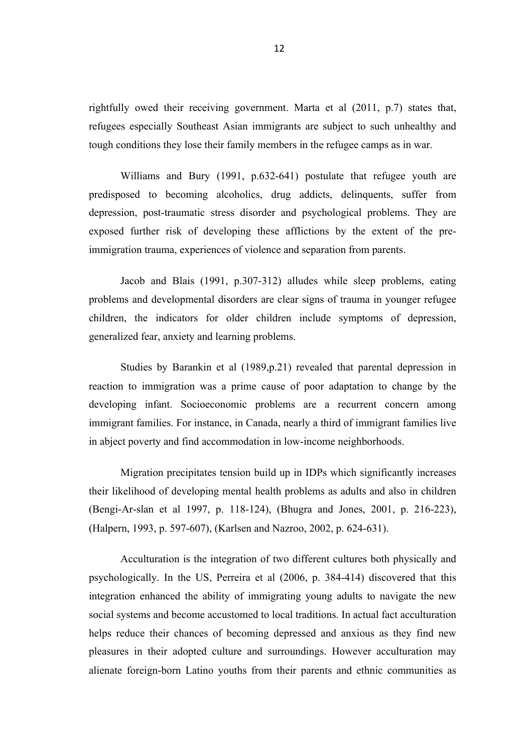rightfully owed their receiving government. Marta et al (2011, p.7) states that, refugees especially Southeast Asian immigrants are subject to such unhealthy and tough conditions they lose their family members in the refugee camps as in war.

Williams and Bury (1991, p.632-641) postulate that refugee youth are predisposed to becoming alcoholics, drug addicts, delinquents, suffer from depression, post-traumatic stress disorder and psychological problems. They are exposed further risk of developing these afflictions by the extent of the preimmigration trauma, experiences of violence and separation from parents.

Jacob and Blais (1991, p.307-312) alludes while sleep problems, eating problems and developmental disorders are clear signs of trauma in younger refugee children, the indicators for older children include symptoms of depression, generalized fear, anxiety and learning problems.

Studies by Barankin et al (1989,p.21) revealed that parental depression in reaction to immigration was a prime cause of poor adaptation to change by the developing infant. Socioeconomic problems are a recurrent concern among immigrant families. For instance, in Canada, nearly a third of immigrant families live in abject poverty and find accommodation in low-income neighborhoods.

Migration precipitates tension build up in IDPs which significantly increases their likelihood of developing mental health problems as adults and also in children (Bengi-Ar-slan et al 1997, p. 118-124), (Bhugra and Jones, 2001, p. 216-223), (Halpern, 1993, p. 597-607), (Karlsen and Nazroo, 2002, p. 624-631).

Acculturation is the integration of two different cultures both physically and psychologically. In the US, Perreira et al (2006, p. 384-414) discovered that this integration enhanced the ability of immigrating young adults to navigate the new social systems and become accustomed to local traditions. In actual fact acculturation helps reduce their chances of becoming depressed and anxious as they find new pleasures in their adopted culture and surroundings. However acculturation may alienate foreign-born Latino youths from their parents and ethnic communities as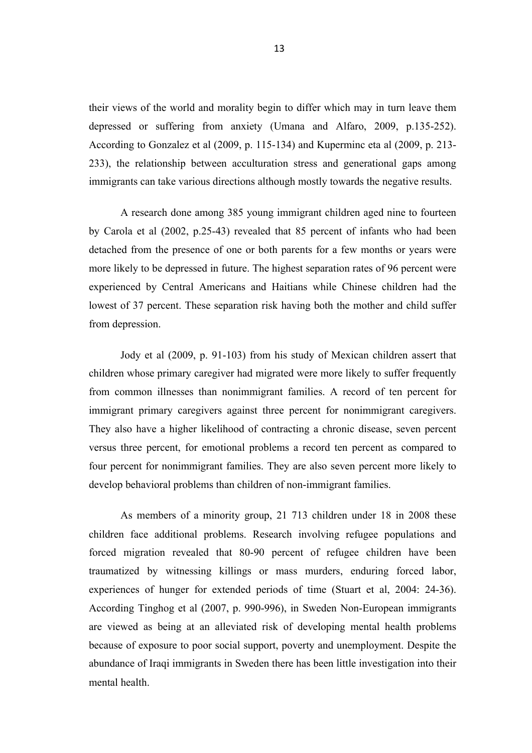their views of the world and morality begin to differ which may in turn leave them depressed or suffering from anxiety (Umana and Alfaro, 2009, p.135-252). According to Gonzalez et al (2009, p. 115-134) and Kuperminc eta al (2009, p. 213- 233), the relationship between acculturation stress and generational gaps among immigrants can take various directions although mostly towards the negative results.

A research done among 385 young immigrant children aged nine to fourteen by Carola et al (2002, p.25-43) revealed that 85 percent of infants who had been detached from the presence of one or both parents for a few months or years were more likely to be depressed in future. The highest separation rates of 96 percent were experienced by Central Americans and Haitians while Chinese children had the lowest of 37 percent. These separation risk having both the mother and child suffer from depression.

Jody et al (2009, p. 91-103) from his study of Mexican children assert that children whose primary caregiver had migrated were more likely to suffer frequently from common illnesses than nonimmigrant families. A record of ten percent for immigrant primary caregivers against three percent for nonimmigrant caregivers. They also have a higher likelihood of contracting a chronic disease, seven percent versus three percent, for emotional problems a record ten percent as compared to four percent for nonimmigrant families. They are also seven percent more likely to develop behavioral problems than children of non-immigrant families.

As members of a minority group, 21 713 children under 18 in 2008 these children face additional problems. Research involving refugee populations and forced migration revealed that 80-90 percent of refugee children have been traumatized by witnessing killings or mass murders, enduring forced labor, experiences of hunger for extended periods of time (Stuart et al, 2004: 24-36). According Tinghog et al (2007, p. 990-996), in Sweden Non-European immigrants are viewed as being at an alleviated risk of developing mental health problems because of exposure to poor social support, poverty and unemployment. Despite the abundance of Iraqi immigrants in Sweden there has been little investigation into their mental health.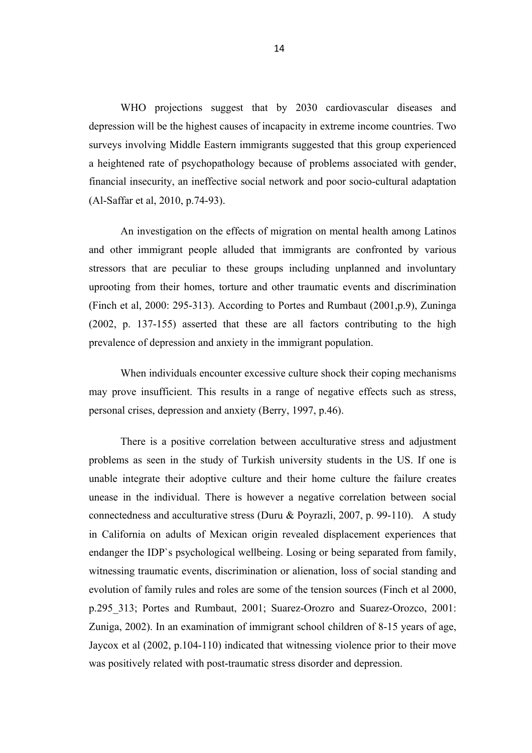WHO projections suggest that by 2030 cardiovascular diseases and depression will be the highest causes of incapacity in extreme income countries. Two surveys involving Middle Eastern immigrants suggested that this group experienced a heightened rate of psychopathology because of problems associated with gender, financial insecurity, an ineffective social network and poor socio-cultural adaptation (Al-Saffar et al, 2010, p.74-93).

An investigation on the effects of migration on mental health among Latinos and other immigrant people alluded that immigrants are confronted by various stressors that are peculiar to these groups including unplanned and involuntary uprooting from their homes, torture and other traumatic events and discrimination (Finch et al, 2000: 295-313). According to Portes and Rumbaut (2001,p.9), Zuninga (2002, p. 137-155) asserted that these are all factors contributing to the high prevalence of depression and anxiety in the immigrant population.

When individuals encounter excessive culture shock their coping mechanisms may prove insufficient. This results in a range of negative effects such as stress, personal crises, depression and anxiety (Berry, 1997, p.46).

There is a positive correlation between acculturative stress and adjustment problems as seen in the study of Turkish university students in the US. If one is unable integrate their adoptive culture and their home culture the failure creates unease in the individual. There is however a negative correlation between social connectedness and acculturative stress (Duru & Poyrazli, 2007, p. 99-110). A study in California on adults of Mexican origin revealed displacement experiences that endanger the IDP`s psychological wellbeing. Losing or being separated from family, witnessing traumatic events, discrimination or alienation, loss of social standing and evolution of family rules and roles are some of the tension sources (Finch et al 2000, p.295\_313; Portes and Rumbaut, 2001; Suarez-Orozro and Suarez-Orozco, 2001: Zuniga, 2002). In an examination of immigrant school children of 8-15 years of age, Jaycox et al (2002, p.104-110) indicated that witnessing violence prior to their move was positively related with post-traumatic stress disorder and depression.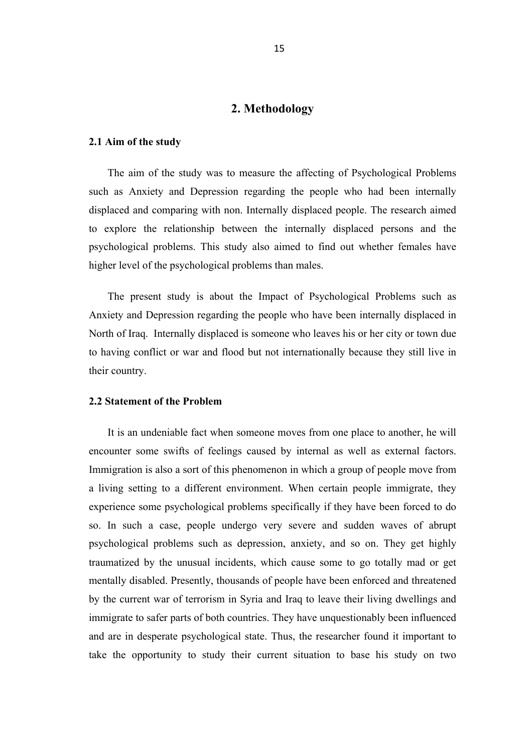### **2. Methodology**

#### **2.1 Aim of the study**

The aim of the study was to measure the affecting of Psychological Problems such as Anxiety and Depression regarding the people who had been internally displaced and comparing with non. Internally displaced people. The research aimed to explore the relationship between the internally displaced persons and the psychological problems. This study also aimed to find out whether females have higher level of the psychological problems than males.

The present study is about the Impact of Psychological Problems such as Anxiety and Depression regarding the people who have been internally displaced in North of Iraq. Internally displaced is someone who leaves his or her city or town due to having conflict or war and flood but not internationally because they still live in their country.

#### **2.2 Statement of the Problem**

It is an undeniable fact when someone moves from one place to another, he will encounter some swifts of feelings caused by internal as well as external factors. Immigration is also a sort of this phenomenon in which a group of people move from a living setting to a different environment. When certain people immigrate, they experience some psychological problems specifically if they have been forced to do so. In such a case, people undergo very severe and sudden waves of abrupt psychological problems such as depression, anxiety, and so on. They get highly traumatized by the unusual incidents, which cause some to go totally mad or get mentally disabled. Presently, thousands of people have been enforced and threatened by the current war of terrorism in Syria and Iraq to leave their living dwellings and immigrate to safer parts of both countries. They have unquestionably been influenced and are in desperate psychological state. Thus, the researcher found it important to take the opportunity to study their current situation to base his study on two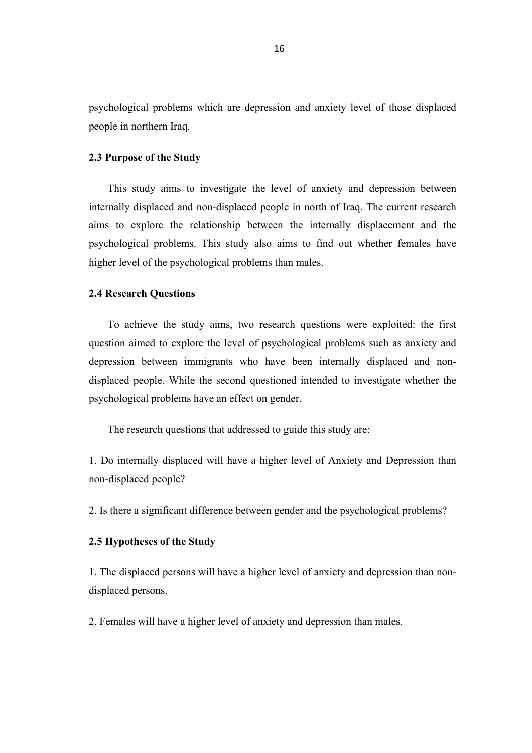psychological problems which are depression and anxiety level of those displaced people in northern Iraq.

#### **2.3 Purpose of the Study**

This study aims to investigate the level of anxiety and depression between internally displaced and non-displaced people in north of Iraq. The current research aims to explore the relationship between the internally displacement and the psychological problems. This study also aims to find out whether females have higher level of the psychological problems than males.

#### **2.4 Research Questions**

To achieve the study aims, two research questions were exploited: the first question aimed to explore the level of psychological problems such as anxiety and depression between immigrants who have been internally displaced and nondisplaced people. While the second questioned intended to investigate whether the psychological problems have an effect on gender.

The research questions that addressed to guide this study are:

1. Do internally displaced will have a higher level of Anxiety and Depression than non-displaced people?

2. Is there a significant difference between gender and the psychological problems?

#### **2.5 Hypotheses of the Study**

1. The displaced persons will have a higher level of anxiety and depression than nondisplaced persons.

2. Females will have a higher level of anxiety and depression than males.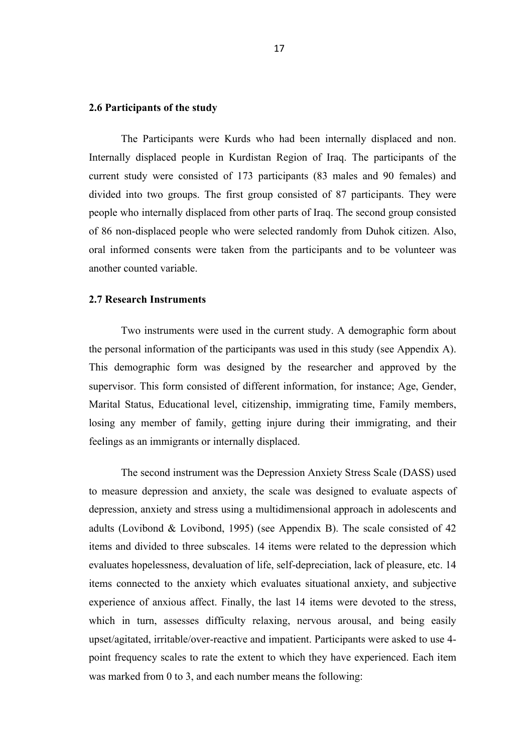#### **2.6 Participants of the study**

The Participants were Kurds who had been internally displaced and non. Internally displaced people in Kurdistan Region of Iraq. The participants of the current study were consisted of 173 participants (83 males and 90 females) and divided into two groups. The first group consisted of 87 participants. They were people who internally displaced from other parts of Iraq. The second group consisted of 86 non-displaced people who were selected randomly from Duhok citizen. Also, oral informed consents were taken from the participants and to be volunteer was another counted variable.

#### **2.7 Research Instruments**

Two instruments were used in the current study. A demographic form about the personal information of the participants was used in this study (see Appendix A). This demographic form was designed by the researcher and approved by the supervisor. This form consisted of different information, for instance; Age, Gender, Marital Status, Educational level, citizenship, immigrating time, Family members, losing any member of family, getting injure during their immigrating, and their feelings as an immigrants or internally displaced.

The second instrument was the Depression Anxiety Stress Scale (DASS) used to measure depression and anxiety, the scale was designed to evaluate aspects of depression, anxiety and stress using a multidimensional approach in adolescents and adults (Lovibond & Lovibond, 1995) (see Appendix B). The scale consisted of 42 items and divided to three subscales. 14 items were related to the depression which evaluates hopelessness, devaluation of life, self-depreciation, lack of pleasure, etc. 14 items connected to the anxiety which evaluates situational anxiety, and subjective experience of anxious affect. Finally, the last 14 items were devoted to the stress, which in turn, assesses difficulty relaxing, nervous arousal, and being easily upset/agitated, irritable/over-reactive and impatient. Participants were asked to use 4 point frequency scales to rate the extent to which they have experienced. Each item was marked from 0 to 3, and each number means the following: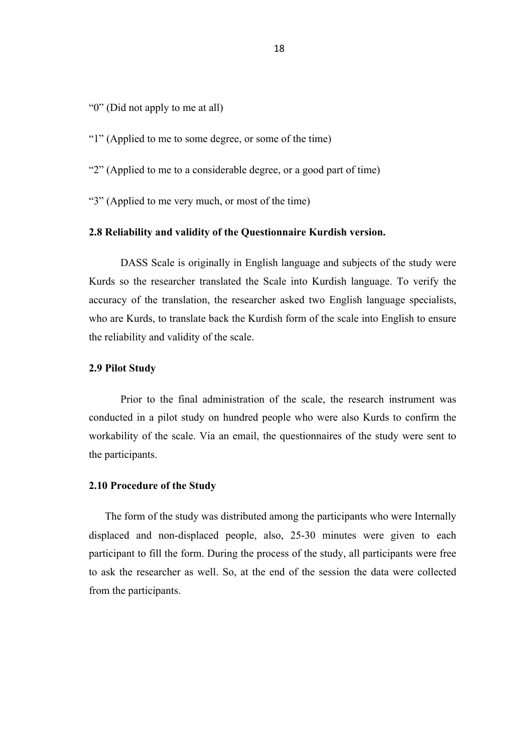"0" (Did not apply to me at all)

"1" (Applied to me to some degree, or some of the time)

"2" (Applied to me to a considerable degree, or a good part of time)

"3" (Applied to me very much, or most of the time)

#### **2.8 Reliability and validity of the Questionnaire Kurdish version.**

DASS Scale is originally in English language and subjects of the study were Kurds so the researcher translated the Scale into Kurdish language. To verify the accuracy of the translation, the researcher asked two English language specialists, who are Kurds, to translate back the Kurdish form of the scale into English to ensure the reliability and validity of the scale.

#### **2.9 Pilot Study**

Prior to the final administration of the scale, the research instrument was conducted in a pilot study on hundred people who were also Kurds to confirm the workability of the scale. Via an email, the questionnaires of the study were sent to the participants.

### **2.10 Procedure of the Study**

The form of the study was distributed among the participants who were Internally displaced and non-displaced people, also, 25-30 minutes were given to each participant to fill the form. During the process of the study, all participants were free to ask the researcher as well. So, at the end of the session the data were collected from the participants.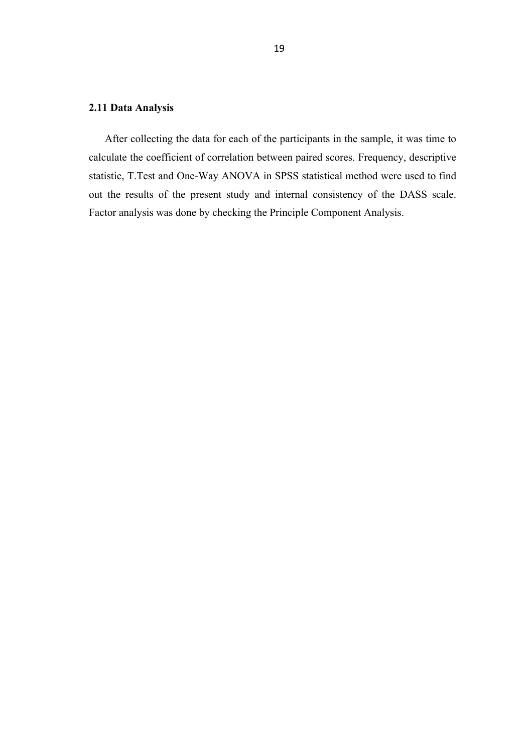# **2.11 Data Analysis**

After collecting the data for each of the participants in the sample, it was time to calculate the coefficient of correlation between paired scores. Frequency, descriptive statistic, T.Test and One-Way ANOVA in SPSS statistical method were used to find out the results of the present study and internal consistency of the DASS scale. Factor analysis was done by checking the Principle Component Analysis.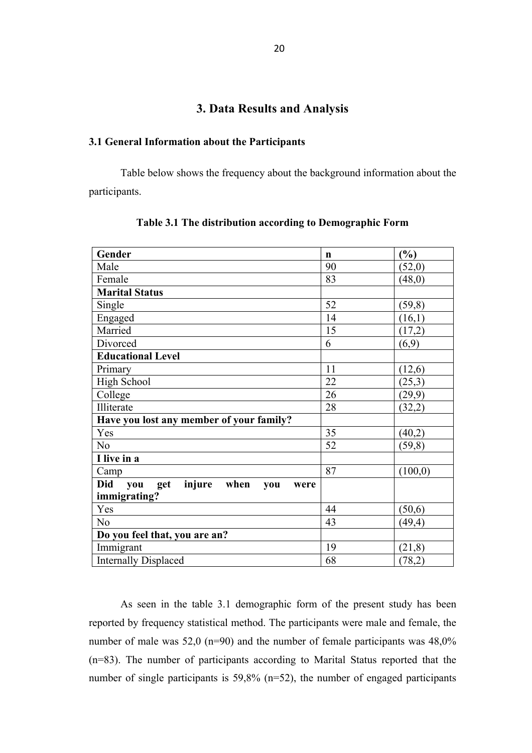# **3. Data Results and Analysis**

#### **3.1 General Information about the Participants**

Table below shows the frequency about the background information about the participants.

| Gender                                       | $\mathbf n$ | (%)      |
|----------------------------------------------|-------------|----------|
| Male                                         | 90          | (52,0)   |
| Female                                       | 83          | (48,0)   |
| <b>Marital Status</b>                        |             |          |
| Single                                       | 52          | (59,8)   |
| Engaged                                      | 14          | (16,1)   |
| Married                                      | 15          | (17,2)   |
| Divorced                                     | 6           | (6,9)    |
| <b>Educational Level</b>                     |             |          |
| Primary                                      | 11          | (12,6)   |
| <b>High School</b>                           | 22          | (25,3)   |
| College                                      | 26          | (29,9)   |
| Illiterate                                   | 28          | (32,2)   |
| Have you lost any member of your family?     |             |          |
| Yes                                          | 35          | (40,2)   |
| N <sub>o</sub>                               | 52          | (59,8)   |
| I live in a                                  |             |          |
| Camp                                         | 87          | (100, 0) |
| get injure when<br>Did<br>you<br>you<br>were |             |          |
| immigrating?                                 |             |          |
| Yes                                          | 44          | (50,6)   |
| N <sub>0</sub>                               | 43          | (49, 4)  |
| Do you feel that, you are an?                |             |          |
| Immigrant                                    | 19          | (21, 8)  |
| <b>Internally Displaced</b>                  | 68          | (78,2)   |

**Table 3.1 The distribution according to Demographic Form**

As seen in the table 3.1 demographic form of the present study has been reported by frequency statistical method. The participants were male and female, the number of male was 52,0 (n=90) and the number of female participants was 48,0% (n=83). The number of participants according to Marital Status reported that the number of single participants is 59,8% (n=52), the number of engaged participants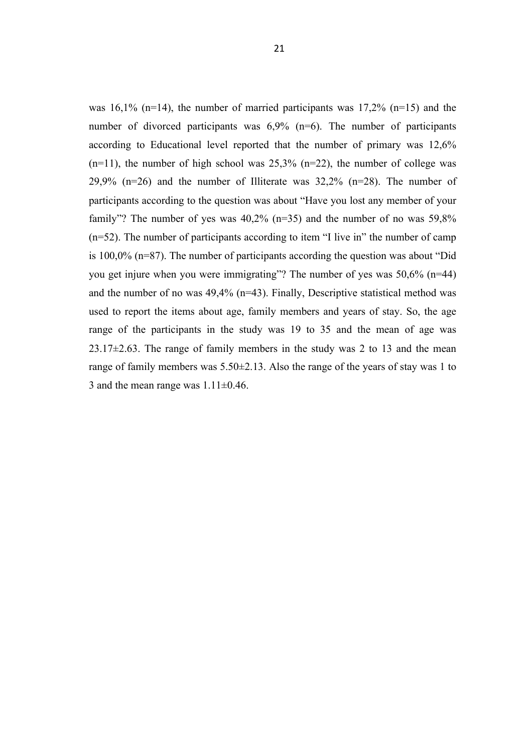was  $16,1\%$  (n=14), the number of married participants was  $17,2\%$  (n=15) and the number of divorced participants was 6,9% (n=6). The number of participants according to Educational level reported that the number of primary was 12,6%  $(n=11)$ , the number of high school was 25,3%  $(n=22)$ , the number of college was 29,9%  $(n=26)$  and the number of Illiterate was 32,2%  $(n=28)$ . The number of participants according to the question was about "Have you lost any member of your family"? The number of yes was 40,2% (n=35) and the number of no was 59,8% (n=52). The number of participants according to item "I live in" the number of camp is 100,0% (n=87). The number of participants according the question was about "Did you get injure when you were immigrating"? The number of yes was 50,6% (n=44) and the number of no was 49,4% (n=43). Finally, Descriptive statistical method was used to report the items about age, family members and years of stay. So, the age range of the participants in the study was 19 to 35 and the mean of age was  $23.17\pm2.63$ . The range of family members in the study was 2 to 13 and the mean range of family members was 5.50±2.13. Also the range of the years of stay was 1 to 3 and the mean range was  $1.11 \pm 0.46$ .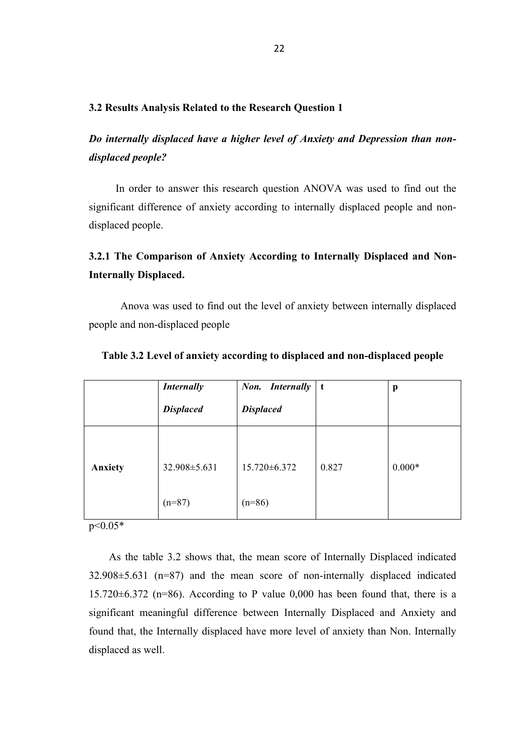#### **3.2 Results Analysis Related to the Research Question 1**

*Do internally displaced have a higher level of Anxiety and Depression than nondisplaced people?*

 In order to answer this research question ANOVA was used to find out the significant difference of anxiety according to internally displaced people and nondisplaced people.

# **3.2.1 The Comparison of Anxiety According to Internally Displaced and Non-Internally Displaced.**

Anova was used to find out the level of anxiety between internally displaced people and non-displaced people

|                | <b>Internally</b><br><b>Displaced</b> | Non. Internally<br><b>Displaced</b> | t     | p        |
|----------------|---------------------------------------|-------------------------------------|-------|----------|
| <b>Anxiety</b> | 32.908 ± 5.631                        | 15.720±6.372                        | 0.827 | $0.000*$ |
|                | $(n=87)$                              | $(n=86)$                            |       |          |

#### **Table 3.2 Level of anxiety according to displaced and non-displaced people**

 $p < 0.05*$ 

As the table 3.2 shows that, the mean score of Internally Displaced indicated 32.908±5.631 (n=87) and the mean score of non-internally displaced indicated 15.720 $\pm$ 6.372 (n=86). According to P value 0,000 has been found that, there is a significant meaningful difference between Internally Displaced and Anxiety and found that, the Internally displaced have more level of anxiety than Non. Internally displaced as well.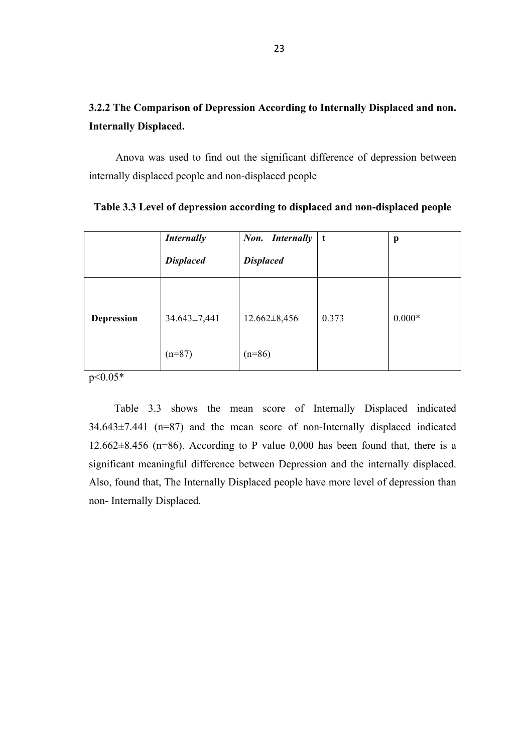# **3.2.2 The Comparison of Depression According to Internally Displaced and non. Internally Displaced.**

 Anova was used to find out the significant difference of depression between internally displaced people and non-displaced people

|                                                    | <b>Internally</b><br><b>Displaced</b> | Non. Internally<br><b>Displaced</b> | t     | p        |
|----------------------------------------------------|---------------------------------------|-------------------------------------|-------|----------|
| <b>Depression</b><br>$\Lambda$ $\Lambda$ $\Lambda$ | $34.643 \pm 7,441$<br>$(n=87)$        | $12.662 \pm 8,456$<br>$(n=86)$      | 0.373 | $0.000*$ |

p<0.05\*

Table 3.3 shows the mean score of Internally Displaced indicated  $34.643\pm7.441$  (n=87) and the mean score of non-Internally displaced indicated 12.662 $\pm$ 8.456 (n=86). According to P value 0,000 has been found that, there is a significant meaningful difference between Depression and the internally displaced. Also, found that, The Internally Displaced people have more level of depression than non- Internally Displaced.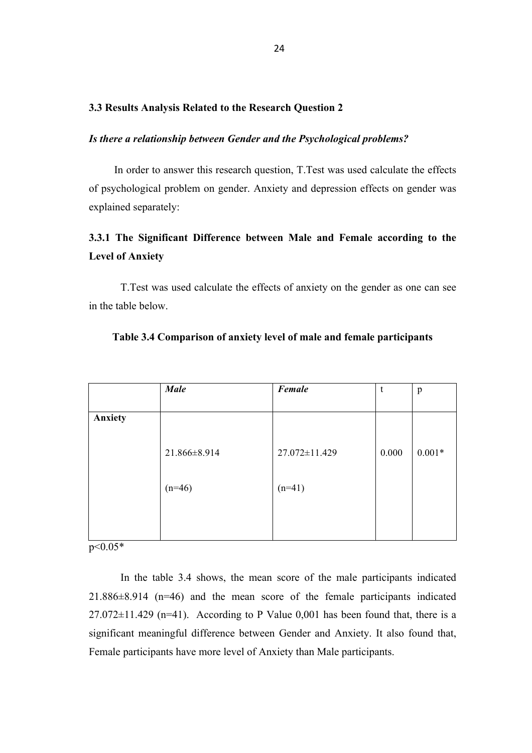#### **3.3 Results Analysis Related to the Research Question 2**

#### *Is there a relationship between Gender and the Psychological problems?*

In order to answer this research question, T.Test was used calculate the effects of psychological problem on gender. Anxiety and depression effects on gender was explained separately:

# **3.3.1 The Significant Difference between Male and Female according to the Level of Anxiety**

T.Test was used calculate the effects of anxiety on the gender as one can see in the table below.

|         | <b>Male</b>  | Female        | t     | p        |
|---------|--------------|---------------|-------|----------|
|         |              |               |       |          |
| Anxiety |              |               |       |          |
|         |              |               |       |          |
|         | 21.866±8.914 | 27.072±11.429 | 0.000 | $0.001*$ |
|         | $(n=46)$     | $(n=41)$      |       |          |
|         |              |               |       |          |
|         |              |               |       |          |
|         |              |               |       |          |

#### **Table 3.4 Comparison of anxiety level of male and female participants**

p<0.05\*

In the table 3.4 shows, the mean score of the male participants indicated 21.886±8.914 (n=46) and the mean score of the female participants indicated  $27.072\pm11.429$  (n=41). According to P Value 0,001 has been found that, there is a significant meaningful difference between Gender and Anxiety. It also found that, Female participants have more level of Anxiety than Male participants.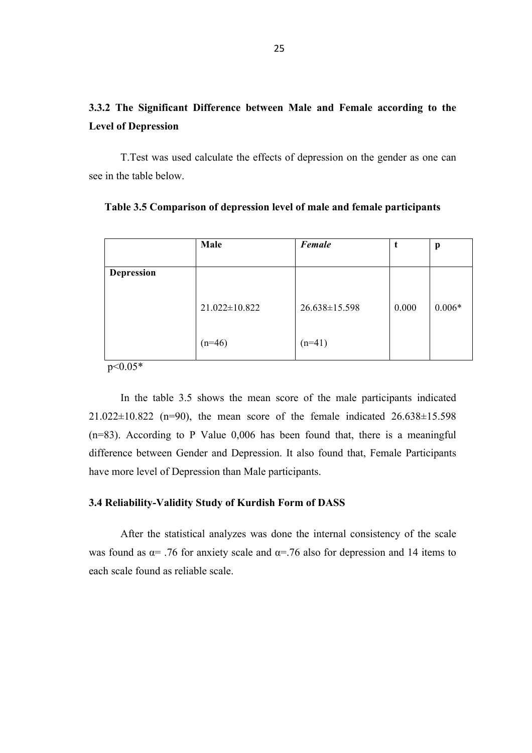# **3.3.2 The Significant Difference between Male and Female according to the Level of Depression**

T.Test was used calculate the effects of depression on the gender as one can see in the table below.

|                             | Male          | Female        | t     | p        |
|-----------------------------|---------------|---------------|-------|----------|
| <b>Depression</b>           |               |               |       |          |
|                             | 21.022±10.822 | 26.638±15.598 | 0.000 | $0.006*$ |
| $\sim$ $\sim$ $\sim$ $\sim$ | $(n=46)$      | $(n=41)$      |       |          |

**Table 3.5 Comparison of depression level of male and female participants**

p<0.05\*

In the table 3.5 shows the mean score of the male participants indicated  $21.022 \pm 10.822$  (n=90), the mean score of the female indicated  $26.638 \pm 15.598$ (n=83). According to P Value 0,006 has been found that, there is a meaningful difference between Gender and Depression. It also found that, Female Participants have more level of Depression than Male participants.

#### **3.4 Reliability-Validity Study of Kurdish Form of DASS**

After the statistical analyzes was done the internal consistency of the scale was found as  $\alpha$ = .76 for anxiety scale and  $\alpha$ =.76 also for depression and 14 items to each scale found as reliable scale.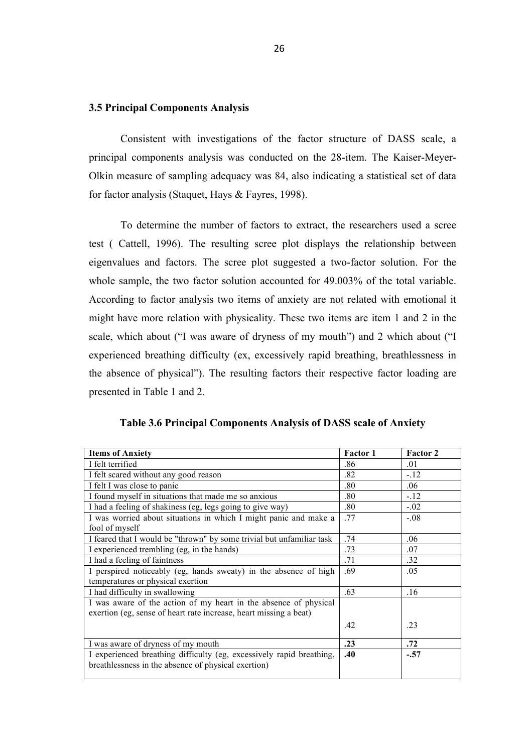#### **3.5 Principal Components Analysis**

Consistent with investigations of the factor structure of DASS scale, a principal components analysis was conducted on the 28-item. The Kaiser-Meyer-Olkin measure of sampling adequacy was 84, also indicating a statistical set of data for factor analysis (Staquet, Hays & Fayres, 1998).

To determine the number of factors to extract, the researchers used a scree test ( Cattell, 1996). The resulting scree plot displays the relationship between eigenvalues and factors. The scree plot suggested a two-factor solution. For the whole sample, the two factor solution accounted for 49.003% of the total variable. According to factor analysis two items of anxiety are not related with emotional it might have more relation with physicality. These two items are item 1 and 2 in the scale, which about ("I was aware of dryness of my mouth") and 2 which about ("I experienced breathing difficulty (ex, excessively rapid breathing, breathlessness in the absence of physical"). The resulting factors their respective factor loading are presented in Table 1 and 2.

| Table 3.6 Principal Components Analysis of DASS scale of Anxiety |
|------------------------------------------------------------------|
|------------------------------------------------------------------|

| <b>Items of Anxiety</b>                                               | <b>Factor 1</b> | <b>Factor 2</b> |
|-----------------------------------------------------------------------|-----------------|-----------------|
| I felt terrified                                                      | .86             | .01             |
| I felt scared without any good reason                                 | .82             | $-12$           |
| I felt I was close to panic                                           | .80             | .06             |
| I found myself in situations that made me so anxious                  | .80             | $-12$           |
| I had a feeling of shakiness (eg, legs going to give way)             | .80             | $-.02$          |
| I was worried about situations in which I might panic and make a      | .77             | $-.08$          |
| fool of myself                                                        |                 |                 |
| I feared that I would be "thrown" by some trivial but unfamiliar task | .74             | .06             |
| I experienced trembling (eg, in the hands)                            | .73             | .07             |
| I had a feeling of faintness                                          | .71             | .32             |
| I perspired noticeably (eg, hands sweaty) in the absence of high      | .69             | .05             |
| temperatures or physical exertion                                     |                 |                 |
| I had difficulty in swallowing                                        | .63             | .16             |
| I was aware of the action of my heart in the absence of physical      |                 |                 |
| exertion (eg, sense of heart rate increase, heart missing a beat)     |                 |                 |
|                                                                       | .42             | .23             |
|                                                                       |                 |                 |
| I was aware of dryness of my mouth                                    | .23             | .72             |
| I experienced breathing difficulty (eg, excessively rapid breathing,  | .40             | $-.57$          |
| breathlessness in the absence of physical exertion)                   |                 |                 |
|                                                                       |                 |                 |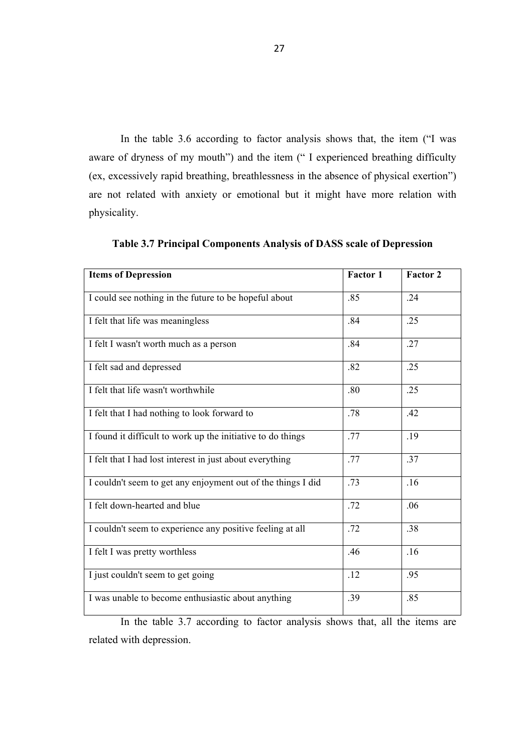In the table 3.6 according to factor analysis shows that, the item ("I was aware of dryness of my mouth") and the item (" I experienced breathing difficulty (ex, excessively rapid breathing, breathlessness in the absence of physical exertion") are not related with anxiety or emotional but it might have more relation with physicality.

| <b>Items of Depression</b>                                   | <b>Factor 1</b> | Factor 2 |
|--------------------------------------------------------------|-----------------|----------|
| I could see nothing in the future to be hopeful about        | .85             | .24      |
| I felt that life was meaningless                             | .84             | .25      |
| I felt I wasn't worth much as a person                       | .84             | .27      |
| I felt sad and depressed                                     | .82             | .25      |
| I felt that life wasn't worthwhile                           | .80             | .25      |
| I felt that I had nothing to look forward to                 | .78             | .42      |
| I found it difficult to work up the initiative to do things  | .77             | .19      |
| I felt that I had lost interest in just about everything     | .77             | .37      |
| I couldn't seem to get any enjoyment out of the things I did | .73             | .16      |
| I felt down-hearted and blue                                 | .72             | .06      |
| I couldn't seem to experience any positive feeling at all    | .72             | .38      |
| I felt I was pretty worthless                                | .46             | .16      |
| I just couldn't seem to get going                            | .12             | .95      |
| I was unable to become enthusiastic about anything           | .39             | .85      |

**Table 3.7 Principal Components Analysis of DASS scale of Depression**

In the table 3.7 according to factor analysis shows that, all the items are related with depression.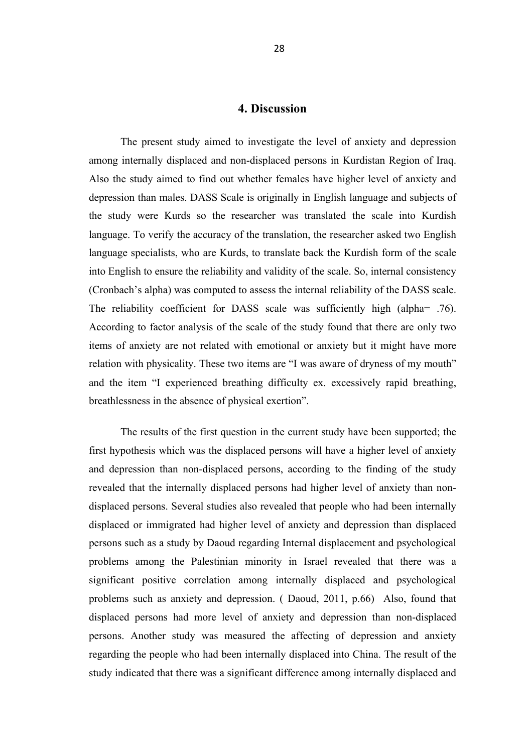## **4. Discussion**

The present study aimed to investigate the level of anxiety and depression among internally displaced and non-displaced persons in Kurdistan Region of Iraq. Also the study aimed to find out whether females have higher level of anxiety and depression than males. DASS Scale is originally in English language and subjects of the study were Kurds so the researcher was translated the scale into Kurdish language. To verify the accuracy of the translation, the researcher asked two English language specialists, who are Kurds, to translate back the Kurdish form of the scale into English to ensure the reliability and validity of the scale. So, internal consistency (Cronbach's alpha) was computed to assess the internal reliability of the DASS scale. The reliability coefficient for DASS scale was sufficiently high (alpha= .76). According to factor analysis of the scale of the study found that there are only two items of anxiety are not related with emotional or anxiety but it might have more relation with physicality. These two items are "I was aware of dryness of my mouth" and the item "I experienced breathing difficulty ex. excessively rapid breathing, breathlessness in the absence of physical exertion".

The results of the first question in the current study have been supported; the first hypothesis which was the displaced persons will have a higher level of anxiety and depression than non-displaced persons, according to the finding of the study revealed that the internally displaced persons had higher level of anxiety than nondisplaced persons. Several studies also revealed that people who had been internally displaced or immigrated had higher level of anxiety and depression than displaced persons such as a study by Daoud regarding Internal displacement and psychological problems among the Palestinian minority in Israel revealed that there was a significant positive correlation among internally displaced and psychological problems such as anxiety and depression. ( Daoud, 2011, p.66) Also, found that displaced persons had more level of anxiety and depression than non-displaced persons. Another study was measured the affecting of depression and anxiety regarding the people who had been internally displaced into China. The result of the study indicated that there was a significant difference among internally displaced and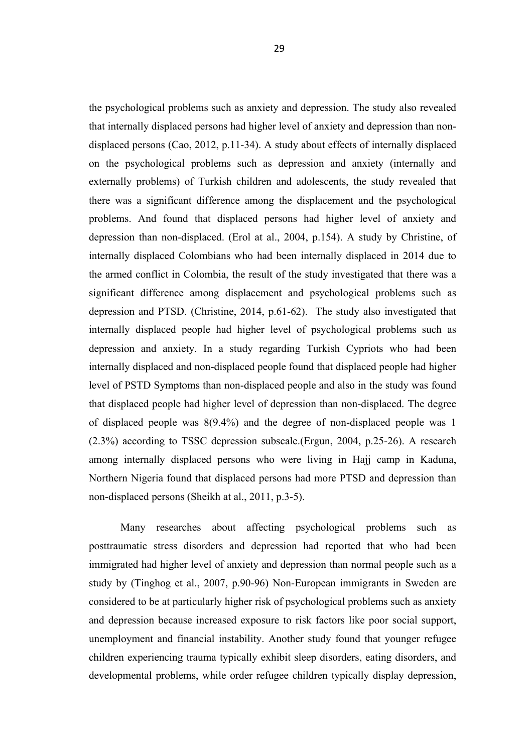the psychological problems such as anxiety and depression. The study also revealed that internally displaced persons had higher level of anxiety and depression than nondisplaced persons (Cao, 2012, p.11-34). A study about effects of internally displaced on the psychological problems such as depression and anxiety (internally and externally problems) of Turkish children and adolescents, the study revealed that there was a significant difference among the displacement and the psychological problems. And found that displaced persons had higher level of anxiety and depression than non-displaced. (Erol at al., 2004, p.154). A study by Christine, of internally displaced Colombians who had been internally displaced in 2014 due to the armed conflict in Colombia, the result of the study investigated that there was a significant difference among displacement and psychological problems such as depression and PTSD. (Christine, 2014, p.61-62). The study also investigated that internally displaced people had higher level of psychological problems such as depression and anxiety. In a study regarding Turkish Cypriots who had been internally displaced and non-displaced people found that displaced people had higher level of PSTD Symptoms than non-displaced people and also in the study was found that displaced people had higher level of depression than non-displaced. The degree of displaced people was 8(9.4%) and the degree of non-displaced people was 1 (2.3%) according to TSSC depression subscale.(Ergun, 2004, p.25-26). A research among internally displaced persons who were living in Hajj camp in Kaduna, Northern Nigeria found that displaced persons had more PTSD and depression than non-displaced persons (Sheikh at al., 2011, p.3-5).

Many researches about affecting psychological problems such as posttraumatic stress disorders and depression had reported that who had been immigrated had higher level of anxiety and depression than normal people such as a study by (Tinghog et al., 2007, p.90-96) Non-European immigrants in Sweden are considered to be at particularly higher risk of psychological problems such as anxiety and depression because increased exposure to risk factors like poor social support, unemployment and financial instability. Another study found that younger refugee children experiencing trauma typically exhibit sleep disorders, eating disorders, and developmental problems, while order refugee children typically display depression,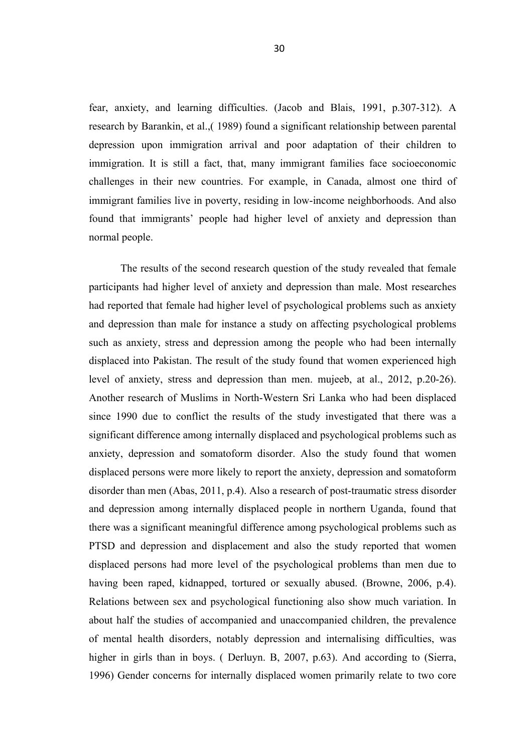fear, anxiety, and learning difficulties. (Jacob and Blais, 1991, p.307-312). A research by Barankin, et al.,( 1989) found a significant relationship between parental depression upon immigration arrival and poor adaptation of their children to immigration. It is still a fact, that, many immigrant families face socioeconomic challenges in their new countries. For example, in Canada, almost one third of immigrant families live in poverty, residing in low-income neighborhoods. And also found that immigrants' people had higher level of anxiety and depression than normal people.

The results of the second research question of the study revealed that female participants had higher level of anxiety and depression than male. Most researches had reported that female had higher level of psychological problems such as anxiety and depression than male for instance a study on affecting psychological problems such as anxiety, stress and depression among the people who had been internally displaced into Pakistan. The result of the study found that women experienced high level of anxiety, stress and depression than men. mujeeb, at al., 2012, p.20-26). Another research of Muslims in North-Western Sri Lanka who had been displaced since 1990 due to conflict the results of the study investigated that there was a significant difference among internally displaced and psychological problems such as anxiety, depression and somatoform disorder. Also the study found that women displaced persons were more likely to report the anxiety, depression and somatoform disorder than men (Abas, 2011, p.4). Also a research of post-traumatic stress disorder and depression among internally displaced people in northern Uganda, found that there was a significant meaningful difference among psychological problems such as PTSD and depression and displacement and also the study reported that women displaced persons had more level of the psychological problems than men due to having been raped, kidnapped, tortured or sexually abused. (Browne, 2006, p.4). Relations between sex and psychological functioning also show much variation. In about half the studies of accompanied and unaccompanied children, the prevalence of mental health disorders, notably depression and internalising difficulties, was higher in girls than in boys. (Derluyn. B, 2007, p.63). And according to (Sierra, 1996) Gender concerns for internally displaced women primarily relate to two core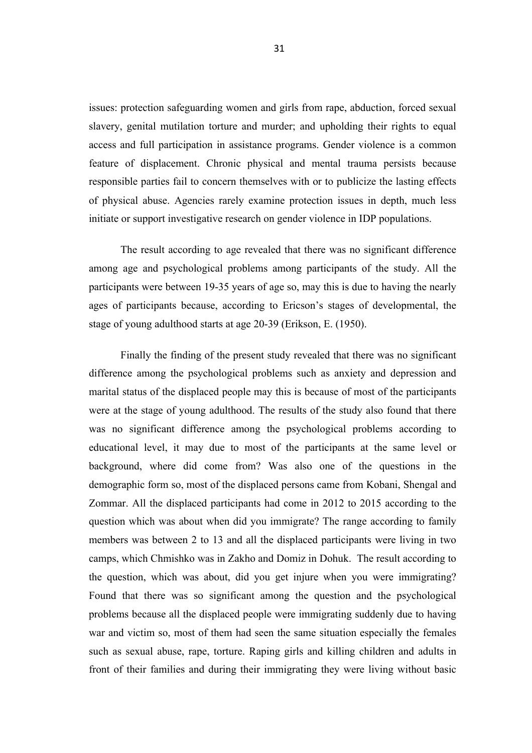issues: protection safeguarding women and girls from rape, abduction, forced sexual slavery, genital mutilation torture and murder; and upholding their rights to equal access and full participation in assistance programs. Gender violence is a common feature of displacement. Chronic physical and mental trauma persists because responsible parties fail to concern themselves with or to publicize the lasting effects of physical abuse. Agencies rarely examine protection issues in depth, much less initiate or support investigative research on gender violence in IDP populations.

The result according to age revealed that there was no significant difference among age and psychological problems among participants of the study. All the participants were between 19-35 years of age so, may this is due to having the nearly ages of participants because, according to Ericson's stages of developmental, the stage of young adulthood starts at age 20-39 (Erikson, E. (1950).

Finally the finding of the present study revealed that there was no significant difference among the psychological problems such as anxiety and depression and marital status of the displaced people may this is because of most of the participants were at the stage of young adulthood. The results of the study also found that there was no significant difference among the psychological problems according to educational level, it may due to most of the participants at the same level or background, where did come from? Was also one of the questions in the demographic form so, most of the displaced persons came from Kobani, Shengal and Zommar. All the displaced participants had come in 2012 to 2015 according to the question which was about when did you immigrate? The range according to family members was between 2 to 13 and all the displaced participants were living in two camps, which Chmishko was in Zakho and Domiz in Dohuk. The result according to the question, which was about, did you get injure when you were immigrating? Found that there was so significant among the question and the psychological problems because all the displaced people were immigrating suddenly due to having war and victim so, most of them had seen the same situation especially the females such as sexual abuse, rape, torture. Raping girls and killing children and adults in front of their families and during their immigrating they were living without basic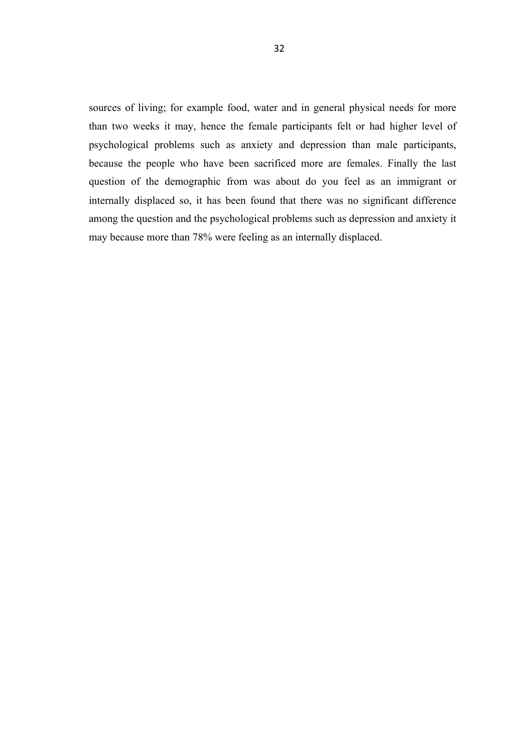sources of living; for example food, water and in general physical needs for more than two weeks it may, hence the female participants felt or had higher level of psychological problems such as anxiety and depression than male participants, because the people who have been sacrificed more are females. Finally the last question of the demographic from was about do you feel as an immigrant or internally displaced so, it has been found that there was no significant difference among the question and the psychological problems such as depression and anxiety it may because more than 78% were feeling as an internally displaced.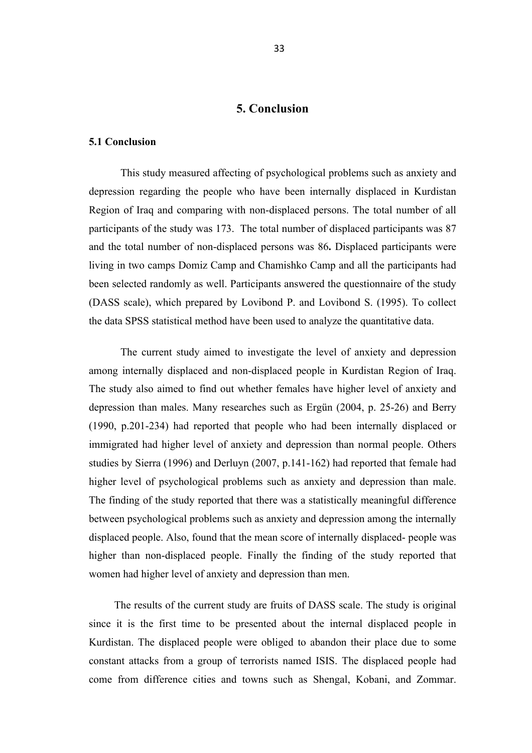# **5. Conclusion**

#### **5.1 Conclusion**

This study measured affecting of psychological problems such as anxiety and depression regarding the people who have been internally displaced in Kurdistan Region of Iraq and comparing with non-displaced persons. The total number of all participants of the study was 173. The total number of displaced participants was 87 and the total number of non-displaced persons was 86**.** Displaced participants were living in two camps Domiz Camp and Chamishko Camp and all the participants had been selected randomly as well. Participants answered the questionnaire of the study (DASS scale), which prepared by Lovibond P. and Lovibond S. (1995). To collect the data SPSS statistical method have been used to analyze the quantitative data.

The current study aimed to investigate the level of anxiety and depression among internally displaced and non-displaced people in Kurdistan Region of Iraq. The study also aimed to find out whether females have higher level of anxiety and depression than males. Many researches such as Ergün (2004, p. 25-26) and Berry (1990, p.201-234) had reported that people who had been internally displaced or immigrated had higher level of anxiety and depression than normal people. Others studies by Sierra (1996) and Derluyn (2007, p.141-162) had reported that female had higher level of psychological problems such as anxiety and depression than male. The finding of the study reported that there was a statistically meaningful difference between psychological problems such as anxiety and depression among the internally displaced people. Also, found that the mean score of internally displaced- people was higher than non-displaced people. Finally the finding of the study reported that women had higher level of anxiety and depression than men.

The results of the current study are fruits of DASS scale. The study is original since it is the first time to be presented about the internal displaced people in Kurdistan. The displaced people were obliged to abandon their place due to some constant attacks from a group of terrorists named ISIS. The displaced people had come from difference cities and towns such as Shengal, Kobani, and Zommar.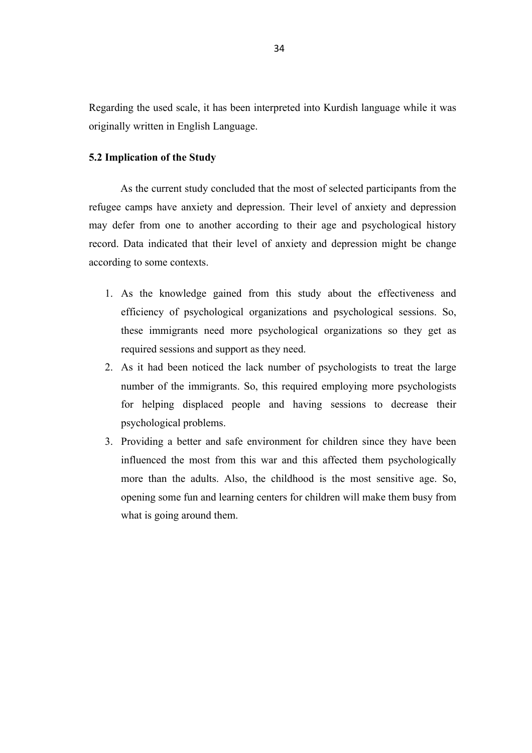Regarding the used scale, it has been interpreted into Kurdish language while it was originally written in English Language.

#### **5.2 Implication of the Study**

As the current study concluded that the most of selected participants from the refugee camps have anxiety and depression. Their level of anxiety and depression may defer from one to another according to their age and psychological history record. Data indicated that their level of anxiety and depression might be change according to some contexts.

- 1. As the knowledge gained from this study about the effectiveness and efficiency of psychological organizations and psychological sessions. So, these immigrants need more psychological organizations so they get as required sessions and support as they need.
- 2. As it had been noticed the lack number of psychologists to treat the large number of the immigrants. So, this required employing more psychologists for helping displaced people and having sessions to decrease their psychological problems.
- 3. Providing a better and safe environment for children since they have been influenced the most from this war and this affected them psychologically more than the adults. Also, the childhood is the most sensitive age. So, opening some fun and learning centers for children will make them busy from what is going around them.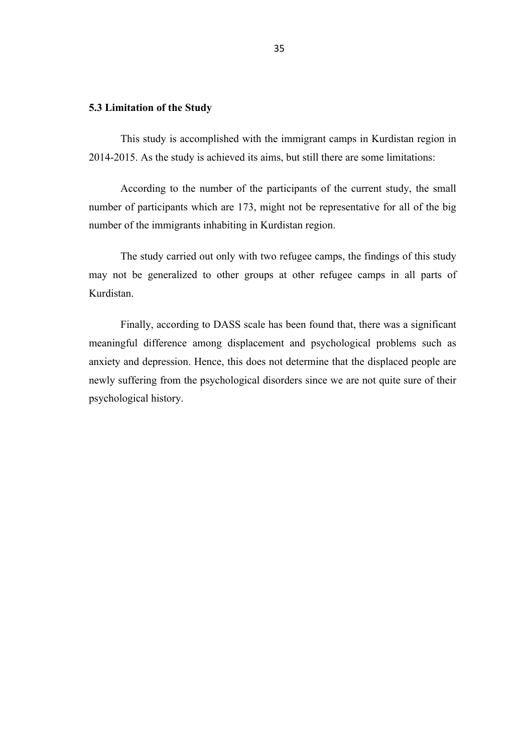#### **5.3 Limitation of the Study**

This study is accomplished with the immigrant camps in Kurdistan region in 2014-2015. As the study is achieved its aims, but still there are some limitations:

According to the number of the participants of the current study, the small number of participants which are 173, might not be representative for all of the big number of the immigrants inhabiting in Kurdistan region.

The study carried out only with two refugee camps, the findings of this study may not be generalized to other groups at other refugee camps in all parts of Kurdistan.

Finally, according to DASS scale has been found that, there was a significant meaningful difference among displacement and psychological problems such as anxiety and depression. Hence, this does not determine that the displaced people are newly suffering from the psychological disorders since we are not quite sure of their psychological history.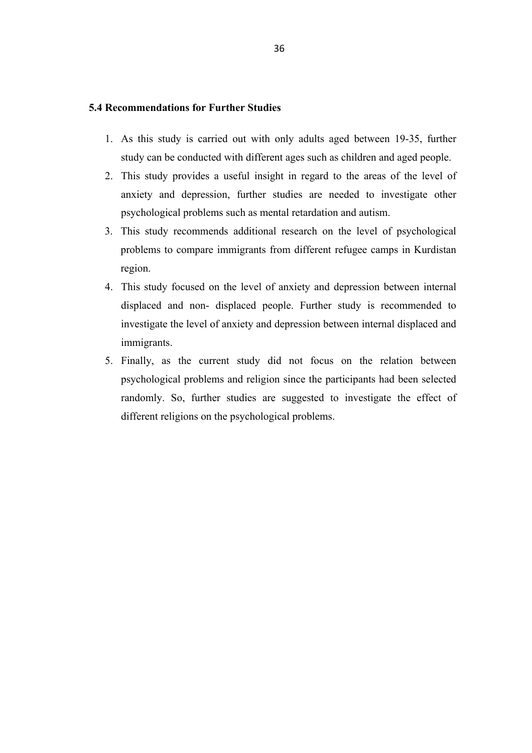#### **5.4 Recommendations for Further Studies**

- 1. As this study is carried out with only adults aged between 19-35, further study can be conducted with different ages such as children and aged people.
- 2. This study provides a useful insight in regard to the areas of the level of anxiety and depression, further studies are needed to investigate other psychological problems such as mental retardation and autism.
- 3. This study recommends additional research on the level of psychological problems to compare immigrants from different refugee camps in Kurdistan region.
- 4. This study focused on the level of anxiety and depression between internal displaced and non- displaced people. Further study is recommended to investigate the level of anxiety and depression between internal displaced and immigrants.
- 5. Finally, as the current study did not focus on the relation between psychological problems and religion since the participants had been selected randomly. So, further studies are suggested to investigate the effect of different religions on the psychological problems.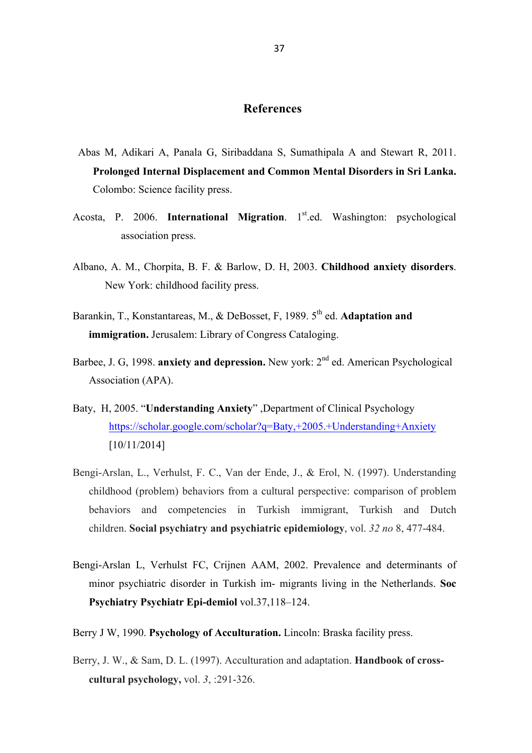## **References**

- Abas M, Adikari A, Panala G, Siribaddana S, Sumathipala A and Stewart R, 2011. **Prolonged Internal Displacement and Common Mental Disorders in Sri Lanka.**  Colombo: Science facility press.
- Acosta, P. 2006. **International Migration**. 1<sup>st</sup>.ed. Washington: psychological association press.
- Albano, A. M., Chorpita, B. F. & Barlow, D. H, 2003. **Childhood anxiety disorders**. New York: childhood facility press.
- Barankin, T., Konstantareas, M., & DeBosset, F, 1989. 5<sup>th</sup> ed. **Adaptation and immigration.** Jerusalem: Library of Congress Cataloging.
- Barbee, J. G. 1998. **anxiety and depression.** New york: 2<sup>nd</sup> ed. American Psychological Association (APA).
- Baty, H, 2005. "**Understanding Anxiety**" ,Department of Clinical Psychology https://scholar.google.com/scholar?q=Baty,+2005.+Understanding+Anxiety [10/11/2014]
- Bengi-Arslan, L., Verhulst, F. C., Van der Ende, J., & Erol, N. (1997). Understanding childhood (problem) behaviors from a cultural perspective: comparison of problem behaviors and competencies in Turkish immigrant, Turkish and Dutch children. **Social psychiatry and psychiatric epidemiology**, vol. *32 no* 8, 477-484.
- Bengi-Arslan L, Verhulst FC, Crijnen AAM, 2002. Prevalence and determinants of minor psychiatric disorder in Turkish im- migrants living in the Netherlands. **Soc Psychiatry Psychiatr Epi-demiol** vol.37,118–124.
- Berry J W, 1990. **Psychology of Acculturation.** Lincoln: Braska facility press.
- Berry, J. W., & Sam, D. L. (1997). Acculturation and adaptation. **Handbook of crosscultural psychology,** vol. *3*, :291-326.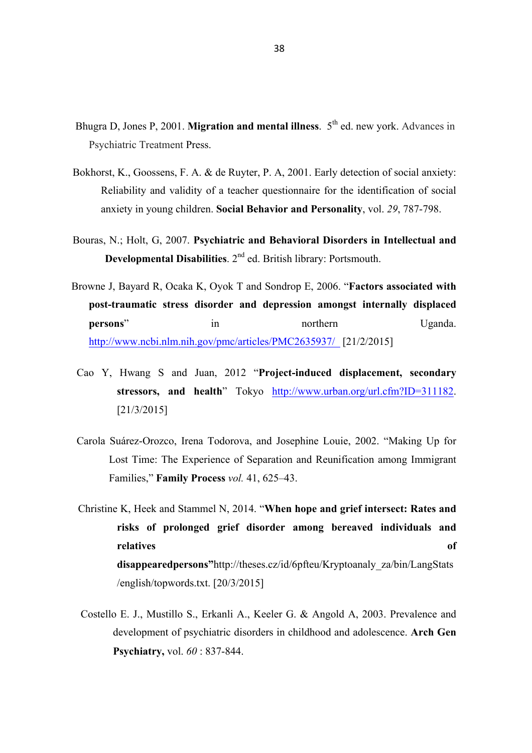- Bhugra D, Jones P, 2001. Migration and mental illness. 5<sup>th</sup> ed. new york. Advances in Psychiatric Treatment Press.
- Bokhorst, K., Goossens, F. A. & de Ruyter, P. A, 2001. Early detection of social anxiety: Reliability and validity of a teacher questionnaire for the identification of social anxiety in young children. **Social Behavior and Personality**, vol. *29*, 787-798.
- Bouras, N.; Holt, G, 2007. **Psychiatric and Behavioral Disorders in Intellectual and Developmental Disabilities**. 2nd ed. British library: Portsmouth.
- Browne J, Bayard R, Ocaka K, Oyok T and Sondrop E, 2006. "**Factors associated with post-traumatic stress disorder and depression amongst internally displaced persons**" in in northern Uganda. http://www.ncbi.nlm.nih.gov/pmc/articles/PMC2635937/ [21/2/2015]
	- Cao Y, Hwang S and Juan, 2012 "**Project-induced displacement, secondary**  stressors, and health<sup>"</sup> Tokyo http://www.urban.org/url.cfm?ID=311182. [21/3/2015]
	- Carola Suárez-Orozco, Irena Todorova, and Josephine Louie, 2002. "Making Up for Lost Time: The Experience of Separation and Reunification among Immigrant Families," **Family Process** *vol.* 41, 625–43.
	- Christine K, Heek and Stammel N, 2014. "**When hope and grief intersect: Rates and risks of prolonged grief disorder among bereaved individuals and relatives of disappearedpersons"**http://theses.cz/id/6pfteu/Kryptoanaly\_za/bin/LangStats /english/topwords.txt. [20/3/2015]
	- Costello E. J., Mustillo S., Erkanli A., Keeler G. & Angold A, 2003. Prevalence and development of psychiatric disorders in childhood and adolescence. **Arch Gen Psychiatry,** vol. *60* : 837-844.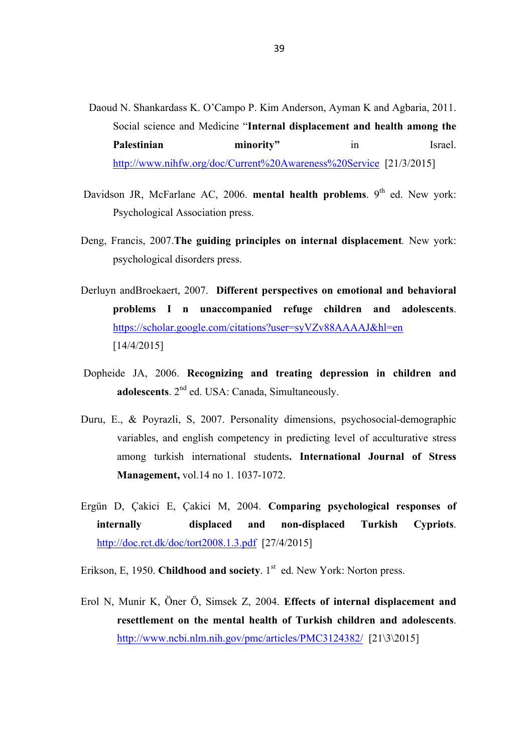- Daoud N. Shankardass K. O'Campo P. Kim Anderson, Ayman K and Agbaria, 2011. Social science and Medicine "**Internal displacement and health among the Palestinian minority"** in Israel. http://www.nihfw.org/doc/Current%20Awareness%20Service [21/3/2015]
- Davidson JR, McFarlane AC, 2006. **mental health problems**. 9<sup>th</sup> ed. New york: Psychological Association press.
- Deng, Francis, 2007.**The guiding principles on internal displacement***.* New york: psychological disorders press.
- Derluyn andBroekaert, 2007. **Different perspectives on emotional and behavioral problems I n unaccompanied refuge children and adolescents**. https://scholar.google.com/citations?user=syVZv88AAAAJ&hl=en [14/4/2015]
- Dopheide JA, 2006. **Recognizing and treating depression in children and adolescents**. 2nd ed. USA: Canada, Simultaneously.
- Duru, E., & Poyrazli, S, 2007. Personality dimensions, psychosocial-demographic variables, and english competency in predicting level of acculturative stress among turkish international students**. International Journal of Stress Management,** vol.14 no 1. 1037-1072.
- Ergün D, Çakici E, Çakici M, 2004. **Comparing psychological responses of internally displaced and non-displaced Turkish Cypriots**. http://doc.rct.dk/doc/tort2008.1.3.pdf [27/4/2015]

Erikson, E, 1950. Childhood and society. 1<sup>st</sup> ed. New York: Norton press.

Erol N, Munir K, Öner Ö, Simsek Z, 2004. **Effects of internal displacement and resettlement on the mental health of Turkish children and adolescents**. http://www.ncbi.nlm.nih.gov/pmc/articles/PMC3124382/ [21\3\2015]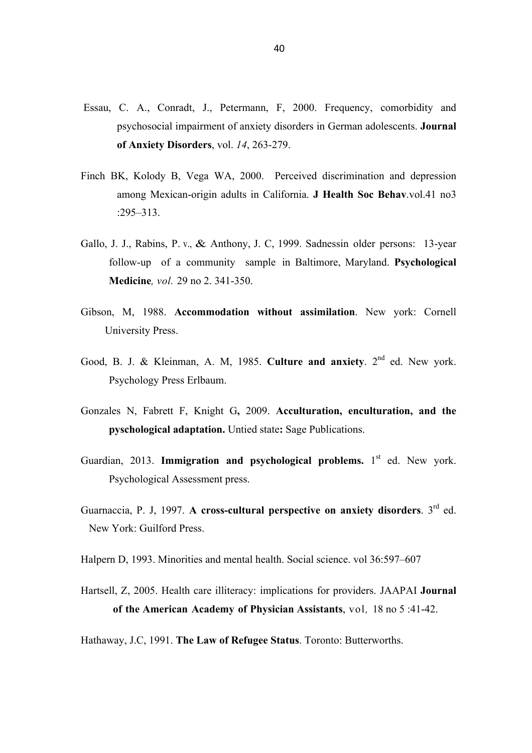- Essau, C. A., Conradt, J., Petermann, F, 2000. Frequency, comorbidity and psychosocial impairment of anxiety disorders in German adolescents. **Journal of Anxiety Disorders**, vol. *14*, 263-279.
- Finch BK, Kolody B, Vega WA, 2000. Perceived discrimination and depression among Mexican-origin adults in California. **J Health Soc Behav**.vol.41 no3 :295–313.
- Gallo, J. J., Rabins, P. v., & Anthony, J. C, 1999. Sadnessin older persons: 13-year follow-up of a community sample in Baltimore, Maryland. **Psychological Medicine***, vol.* 29 no 2. 341-350.
- Gibson, M, 1988. **Accommodation without assimilation**. New york: Cornell University Press.
- Good, B. J. & Kleinman, A. M, 1985. **Culture and anxiety**. 2<sup>nd</sup> ed. New york. Psychology Press Erlbaum.
- Gonzales N, Fabrett F, Knight G**,** 2009. **Acculturation, enculturation, and the pyschological adaptation.** Untied state**:** Sage Publications.
- Guardian, 2013. **Immigration and psychological problems.** 1<sup>st</sup> ed. New york. Psychological Assessment press.
- Guarnaccia, P. J, 1997. **A cross-cultural perspective on anxiety disorders**. 3rd ed. New York: Guilford Press.
- Halpern D, 1993. Minorities and mental health. Social science. vol 36:597–607
- Hartsell, Z, 2005. Health care illiteracy: implications for providers. JAAPAI **Journal of the American Academy of Physician Assistants**, vol*,* 18 no 5 :41-42.
- Hathaway, J.C, 1991. **The Law of Refugee Status**. Toronto: Butterworths.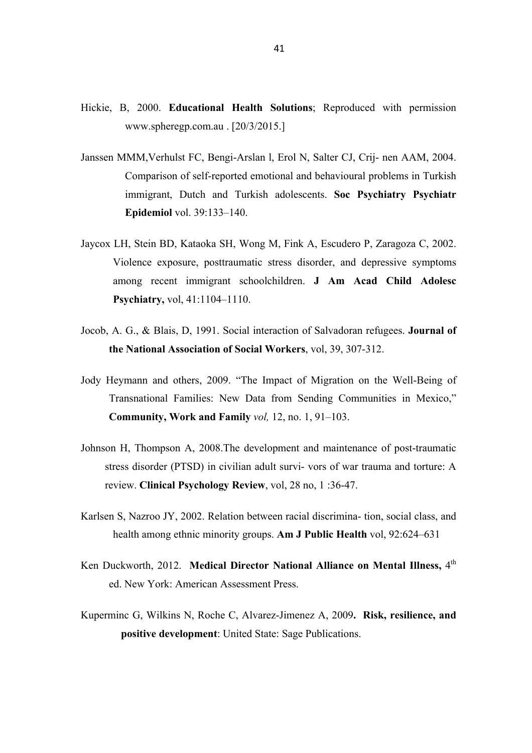- Hickie, B, 2000. **Educational Health Solutions**; Reproduced with permission www.spheregp.com.au . [20/3/2015.]
- Janssen MMM,Verhulst FC, Bengi-Arslan l, Erol N, Salter CJ, Crij- nen AAM, 2004. Comparison of self-reported emotional and behavioural problems in Turkish immigrant, Dutch and Turkish adolescents. **Soc Psychiatry Psychiatr Epidemiol** vol. 39:133–140.
- Jaycox LH, Stein BD, Kataoka SH, Wong M, Fink A, Escudero P, Zaragoza C, 2002. Violence exposure, posttraumatic stress disorder, and depressive symptoms among recent immigrant schoolchildren. **J Am Acad Child Adolesc Psychiatry,** vol, 41:1104–1110.
- Jocob, A. G., & Blais, D, 1991. Social interaction of Salvadoran refugees. **Journal of the National Association of Social Workers**, vol, 39, 307-312.
- Jody Heymann and others, 2009. "The Impact of Migration on the Well-Being of Transnational Families: New Data from Sending Communities in Mexico," **Community, Work and Family** *vol,* 12, no. 1, 91–103.
- Johnson H, Thompson A, 2008.The development and maintenance of post-traumatic stress disorder (PTSD) in civilian adult survi- vors of war trauma and torture: A review. **Clinical Psychology Review**, vol, 28 no, 1 :36-47.
- Karlsen S, Nazroo JY, 2002. Relation between racial discrimina- tion, social class, and health among ethnic minority groups. **Am J Public Health** vol, 92:624–631
- Ken Duckworth, 2012. Medical Director National Alliance on Mental Illness, 4<sup>th</sup> ed. New York: American Assessment Press.
- Kuperminc G, Wilkins N, Roche C, Alvarez-Jimenez A, 2009**. Risk, resilience, and positive development**: United State: Sage Publications.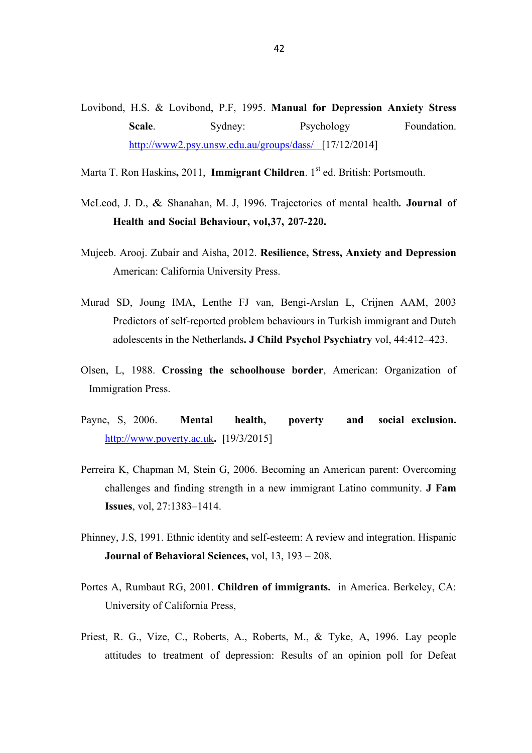- Lovibond, H.S. & Lovibond, P.F, 1995. **Manual for Depression Anxiety Stress**  Scale. Sydney: Psychology Foundation. http://www2.psy.unsw.edu.au/groups/dass/ [17/12/2014]
- Marta T. Ron Haskins, 2011, **Immigrant Children**. 1<sup>st</sup> ed. British: Portsmouth.
- McLeod, J. D., & Shanahan, M. J, 1996. Trajectories of mental health*.* **Journal of Health and Social Behaviour, vol,37, 207-220.**
- Mujeeb. Arooj. Zubair and Aisha, 2012. **Resilience, Stress, Anxiety and Depression** American: California University Press.
- Murad SD, Joung IMA, Lenthe FJ van, Bengi-Arslan L, Crijnen AAM, 2003 Predictors of self-reported problem behaviours in Turkish immigrant and Dutch adolescents in the Netherlands**. J Child Psychol Psychiatry** vol, 44:412–423.
- Olsen, L, 1988. **Crossing the schoolhouse border**, American: Organization of Immigration Press.
- Payne, S, 2006. **Mental health, poverty and social exclusion.**  http://www.poverty.ac.uk**. [**19/3/2015]
- Perreira K, Chapman M, Stein G, 2006. Becoming an American parent: Overcoming challenges and finding strength in a new immigrant Latino community. **J Fam Issues**, vol, 27:1383–1414.
- Phinney, J.S, 1991. Ethnic identity and self-esteem: A review and integration. Hispanic **Journal of Behavioral Sciences,** vol, 13, 193 – 208.
- Portes A, Rumbaut RG, 2001. **Children of immigrants.** in America. Berkeley, CA: University of California Press,
- Priest, R. G., Vize, C., Roberts, A., Roberts, M., & Tyke, A, 1996. Lay people attitudes to treatment of depression: Results of an opinion poll for Defeat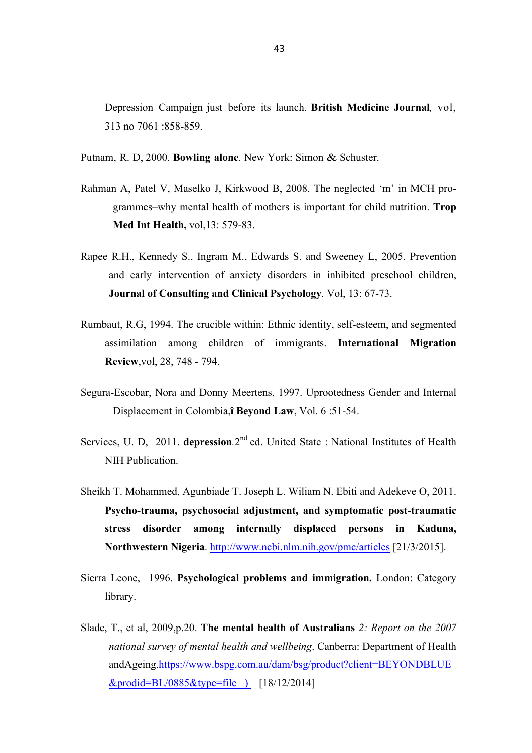Depression Campaign just before its launch. **British Medicine Journal***,* vol, 313 no 7061 :858-859.

Putnam, R. D, 2000. **Bowling alone***.* New York: Simon & Schuster.

- Rahman A, Patel V, Maselko J, Kirkwood B, 2008. The neglected 'm' in MCH programmes–why mental health of mothers is important for child nutrition. **Trop Med Int Health,** vol,13: 579-83.
- Rapee R.H., Kennedy S., Ingram M., Edwards S. and Sweeney L, 2005. Prevention and early intervention of anxiety disorders in inhibited preschool children, **Journal of Consulting and Clinical Psychology***.* Vol, 13: 67-73.
- Rumbaut, R.G, 1994. The crucible within: Ethnic identity, self-esteem, and segmented assimilation among children of immigrants. **International Migration Review**,vol, 28, 748 - 794.
- Segura-Escobar, Nora and Donny Meertens, 1997. Uprootedness Gender and Internal Displacement in Colombia,**î Beyond Law**, Vol. 6 :51-54.
- Services, U. D, 2011. **depression**.2<sup>nd</sup> ed. United State : National Institutes of Health NIH Publication.
- Sheikh T. Mohammed, Agunbiade T. Joseph L. Wiliam N. Ebiti and Adekeve O, 2011. **Psycho-trauma, psychosocial adjustment, and symptomatic post-traumatic stress disorder among internally displaced persons in Kaduna, Northwestern Nigeria**. http://www.ncbi.nlm.nih.gov/pmc/articles [21/3/2015].
- Sierra Leone, 1996. **Psychological problems and immigration.** London: Category library.
- Slade, T., et al, 2009,p.20. **The mental health of Australians** *2: Report on the 2007 national survey of mental health and wellbeing*. Canberra: Department of Health andAgeing.https://www.bspg.com.au/dam/bsg/product?client=BEYONDBLUE &prodid=BL/0885&type=file ) [18/12/2014]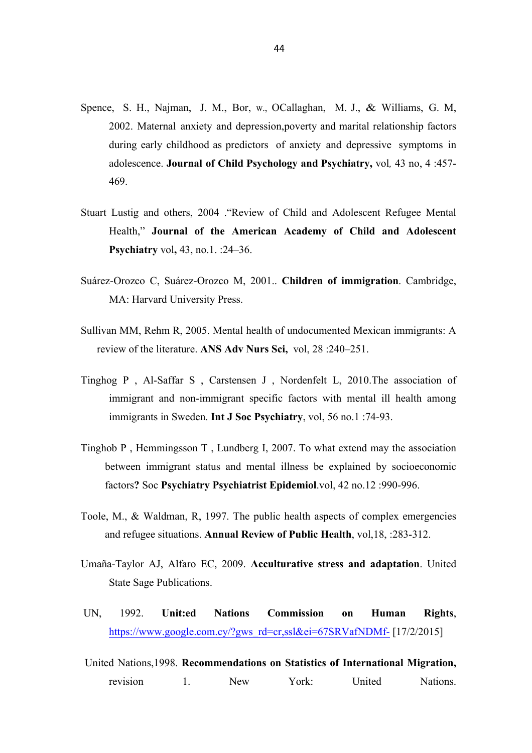- Spence, S. H., Najman, J. M., Bor, w., OCallaghan, M. J., & Williams, G. M, 2002. Maternal anxiety and depression,poverty and marital relationship factors during early childhood as predictors of anxiety and depressive symptoms in adolescence. **Journal of Child Psychology and Psychiatry,** vol*,* 43 no, 4 :457- 469.
- Stuart Lustig and others, 2004 ."Review of Child and Adolescent Refugee Mental Health," **Journal of the American Academy of Child and Adolescent Psychiatry** vol**,** 43, no.1. :24–36.
- Suárez-Orozco C, Suárez-Orozco M, 2001.. **Children of immigration**. Cambridge, MA: Harvard University Press.
- Sullivan MM, Rehm R, 2005. Mental health of undocumented Mexican immigrants: A review of the literature. **ANS Adv Nurs Sci,** vol, 28 :240–251.
- Tinghog P , Al-Saffar S , Carstensen J , Nordenfelt L, 2010.The association of immigrant and non-immigrant specific factors with mental ill health among immigrants in Sweden. **Int J Soc Psychiatry**, vol, 56 no.1 :74-93.
- Tinghob P , Hemmingsson T , Lundberg I, 2007. To what extend may the association between immigrant status and mental illness be explained by socioeconomic factors**?** Soc **Psychiatry Psychiatrist Epidemiol**.vol, 42 no.12 :990-996.
- Toole, M., & Waldman, R, 1997. The public health aspects of complex emergencies and refugee situations. **Annual Review of Public Health**, vol,18, :283-312.
- Umaña-Taylor AJ, Alfaro EC, 2009. **Acculturative stress and adaptation**. United State Sage Publications.
- UN, 1992. **Unit:ed Nations Commission on Human Rights**, https://www.google.com.cy/?gws\_rd=cr.ssl&ei=67SRVafNDMf- [17/2/2015]
- United Nations,1998. **Recommendations on Statistics of International Migration,**  revision 1. New York: United Nations.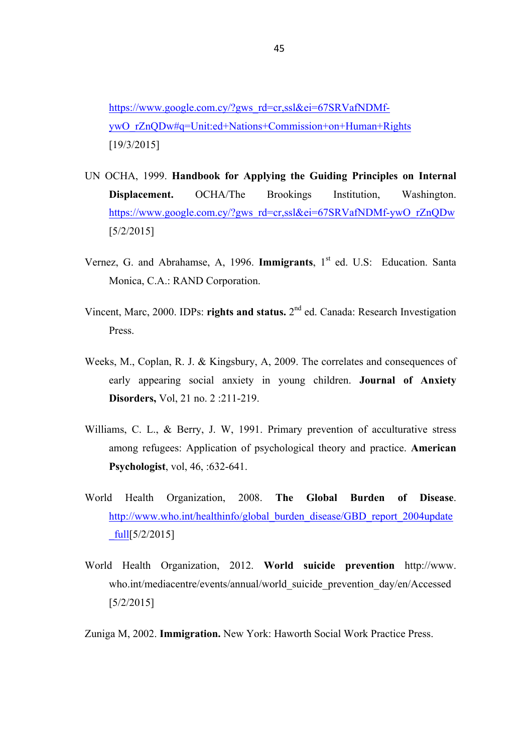https://www.google.com.cy/?gws\_rd=cr,ssl&ei=67SRVafNDMfywO\_rZnQDw#q=Unit:ed+Nations+Commission+on+Human+Rights [19/3/2015]

- UN OCHA, 1999. **Handbook for Applying the Guiding Principles on Internal Displacement.** OCHA/The Brookings Institution, Washington. https://www.google.com.cy/?gws\_rd=cr,ssl&ei=67SRVafNDMf-ywO\_rZnQDw [5/2/2015]
- Vernez, G. and Abrahamse, A, 1996. **Immigrants**, 1<sup>st</sup> ed. U.S: Education. Santa Monica, C.A.: RAND Corporation.
- Vincent, Marc, 2000. IDPs: **rights and status.** 2nd ed. Canada: Research Investigation Press.
- Weeks, M., Coplan, R. J. & Kingsbury, A, 2009. The correlates and consequences of early appearing social anxiety in young children. **Journal of Anxiety Disorders,** Vol, 21 no. 2 :211-219.
- Williams, C. L., & Berry, J. W., 1991. Primary prevention of acculturative stress among refugees: Application of psychological theory and practice. **American Psychologist**, vol, 46, :632-641.
- World Health Organization, 2008. **The Global Burden of Disease**. http://www.who.int/healthinfo/global\_burden\_disease/GBD\_report\_2004update  $fulI[5/2/2015]$
- World Health Organization, 2012. **World suicide prevention** http://www. who.int/mediacentre/events/annual/world\_suicide\_prevention\_day/en/Accessed [5/2/2015]
- Zuniga M, 2002. **Immigration.** New York: Haworth Social Work Practice Press.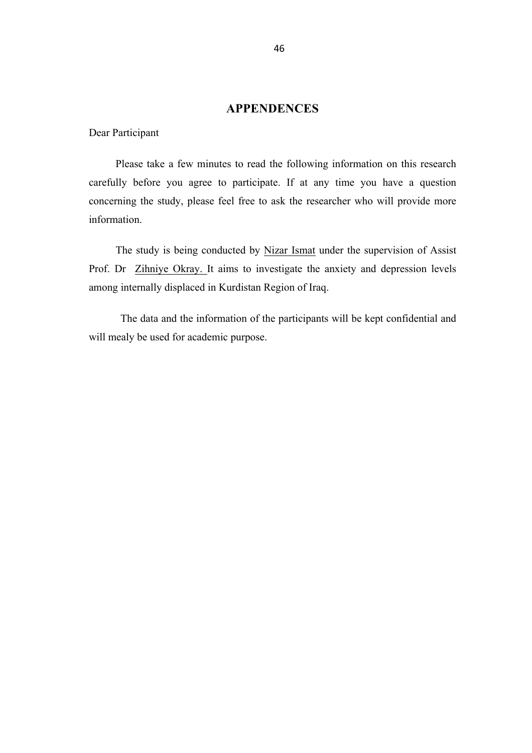# **APPENDENCES**

Dear Participant

 Please take a few minutes to read the following information on this research carefully before you agree to participate. If at any time you have a question concerning the study, please feel free to ask the researcher who will provide more information.

 The study is being conducted by Nizar Ismat under the supervision of Assist Prof. Dr Zihniye Okray. It aims to investigate the anxiety and depression levels among internally displaced in Kurdistan Region of Iraq.

The data and the information of the participants will be kept confidential and will mealy be used for academic purpose.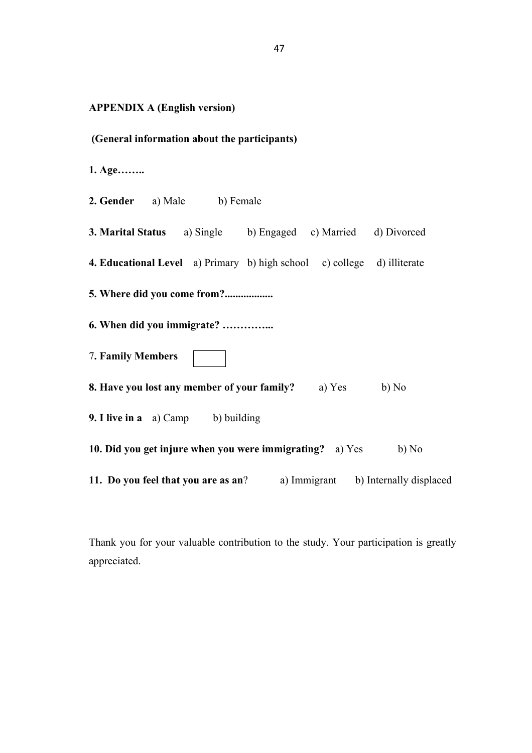**APPENDIX A (English version)**

**1. Age……..**

**2. Gender** a) Male b) Female

**3. Marital Status** a) Single b) Engaged c) Married d) Divorced

**4. Educational Level** a) Primary b) high school c) college d) illiterate

**5. Where did you come from?..................**

- **6. When did you immigrate? …………...**
- 7**. Family Members**
- **8. Have you lost any member of your family?** a) Yes b) No
- **9. I live in a** a) Camp b) building

**10. Did you get injure when you were immigrating?** a) Yes b) No

**11. Do you feel that you are as an?** a) Immigrant b) Internally displaced

Thank you for your valuable contribution to the study. Your participation is greatly appreciated.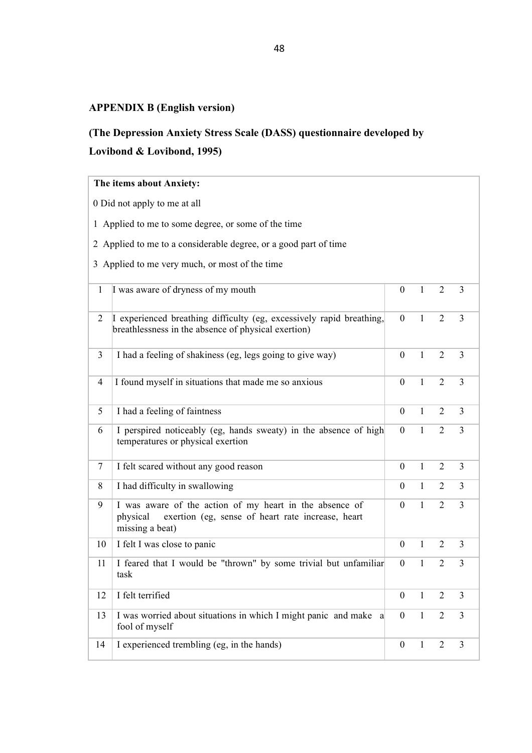# **APPENDIX B (English version)**

# **(The Depression Anxiety Stress Scale (DASS) questionnaire developed by Lovibond & Lovibond, 1995)**

## **The items about Anxiety:**

0 Did not apply to me at all

1 Applied to me to some degree, or some of the time

2 Applied to me to a considerable degree, or a good part of time

3 Applied to me very much, or most of the time

| $\mathbf{1}$   | I was aware of dryness of my mouth                                                                                                          | $\theta$       | $\mathbf{1}$ | 2              | 3              |
|----------------|---------------------------------------------------------------------------------------------------------------------------------------------|----------------|--------------|----------------|----------------|
| 2              | I experienced breathing difficulty (eg, excessively rapid breathing,<br>breathlessness in the absence of physical exertion)                 | $\mathbf{0}$   | $\mathbf{1}$ | $\overline{2}$ | $\overline{3}$ |
| 3              | I had a feeling of shakiness (eg, legs going to give way)                                                                                   | $\mathbf{0}$   | $\mathbf{1}$ | $\overline{2}$ | $\overline{3}$ |
| $\overline{4}$ | I found myself in situations that made me so anxious                                                                                        | $\mathbf{0}$   | $\mathbf{1}$ | $\overline{2}$ | $\overline{3}$ |
| 5              | I had a feeling of faintness                                                                                                                | $\mathbf{0}$   | $\mathbf{1}$ | 2              | 3              |
| 6              | I perspired noticeably (eg, hands sweaty) in the absence of high<br>temperatures or physical exertion                                       | $\overline{0}$ | $\mathbf{1}$ | $\overline{2}$ | $\overline{3}$ |
| $\tau$         | I felt scared without any good reason                                                                                                       | $\mathbf{0}$   | $\mathbf{1}$ | $\overline{2}$ | $\overline{3}$ |
| 8              | I had difficulty in swallowing                                                                                                              | $\Omega$       | $\mathbf{1}$ | $\overline{2}$ | $\overline{3}$ |
| 9              | I was aware of the action of my heart in the absence of<br>exertion (eg, sense of heart rate increase, heart<br>physical<br>missing a beat) | $\theta$       | $\mathbf{1}$ | $\overline{2}$ | $\overline{3}$ |
| 10             | I felt I was close to panic                                                                                                                 | $\mathbf{0}$   | $\mathbf{1}$ | $\overline{2}$ | 3              |
| 11             | I feared that I would be "thrown" by some trivial but unfamiliar<br>task                                                                    | $\theta$       | $\mathbf{1}$ | $\overline{2}$ | $\overline{3}$ |
| 12             | I felt terrified                                                                                                                            | $\mathbf{0}$   | $\mathbf{1}$ | $\overline{2}$ | $\overline{3}$ |
| 13             | I was worried about situations in which I might panic and make a<br>fool of myself                                                          | $\mathbf{0}$   | $\mathbf{1}$ | $\overline{2}$ | 3              |
| 14             | I experienced trembling (eg, in the hands)                                                                                                  | $\overline{0}$ | $\mathbf{1}$ | $\overline{2}$ | $\overline{3}$ |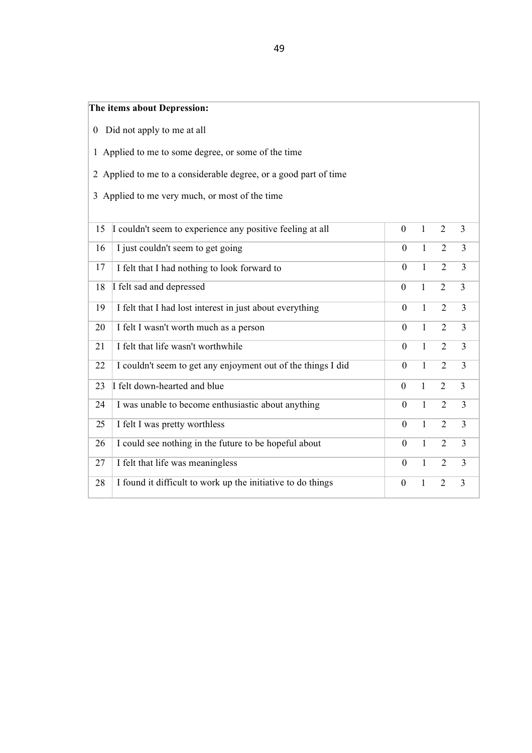# **The items about Depression:**

- 0 Did not apply to me at all
- Applied to me to some degree, or some of the time
- Applied to me to a considerable degree, or a good part of time
- Applied to me very much, or most of the time

| 15 | I couldn't seem to experience any positive feeling at all    | $\theta$       | 1            | $\overline{2}$ | 3              |
|----|--------------------------------------------------------------|----------------|--------------|----------------|----------------|
| 16 | I just couldn't seem to get going                            | $\theta$       | $\mathbf{1}$ | 2              | 3              |
| 17 | I felt that I had nothing to look forward to                 | $\theta$       | 1            | $\overline{2}$ | $\overline{3}$ |
| 18 | I felt sad and depressed                                     | $\overline{0}$ | 1            | 2              | 3              |
| 19 | I felt that I had lost interest in just about everything     | $\theta$       | $\mathbf{1}$ | 2              | 3              |
| 20 | I felt I wasn't worth much as a person                       | $\theta$       | 1            | 2              | $\overline{3}$ |
| 21 | I felt that life wasn't worthwhile                           | $\theta$       | 1            | $\overline{2}$ | $\overline{3}$ |
| 22 | I couldn't seem to get any enjoyment out of the things I did | $\theta$       | $\mathbf{1}$ | $\overline{2}$ | 3              |
| 23 | I felt down-hearted and blue                                 | $\overline{0}$ | $\mathbf{1}$ | 2              | $\overline{3}$ |
| 24 | I was unable to become enthusiastic about anything           | $\theta$       | $\mathbf{1}$ | 2              | 3              |
| 25 | I felt I was pretty worthless                                | $\theta$       | $\mathbf{1}$ | 2              | $\overline{3}$ |
| 26 | I could see nothing in the future to be hopeful about        | $\overline{0}$ | 1            | $\overline{2}$ | 3              |
| 27 | I felt that life was meaningless                             | $\theta$       | $\mathbf{1}$ | $\overline{2}$ | $\overline{3}$ |
| 28 | I found it difficult to work up the initiative to do things  | $\theta$       | 1            | 2              | 3              |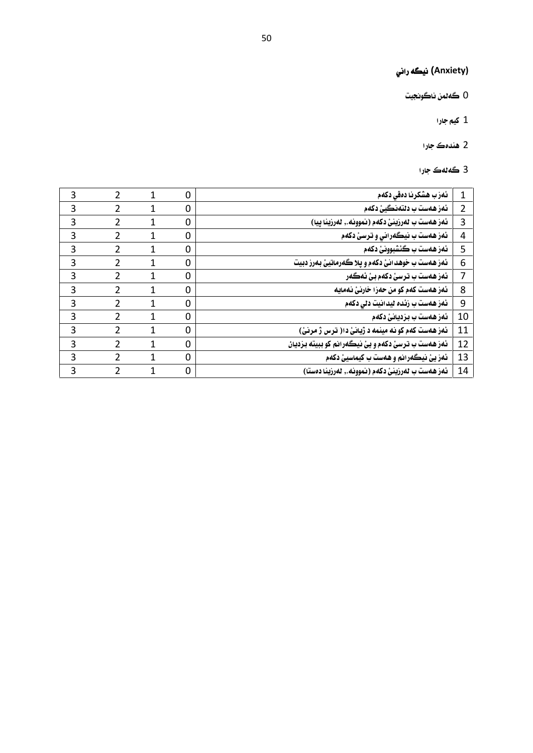# (Anxiety**) نيگه راني**<br>() گهڻمن ناگونجيت<br>() گهڻمن ناگونجيت (Anxiety) **نيگه ران**م<br>0 ڪ*ه*لمن ناڪونجيت<br>1 کيم جارا (Anxiety)<br>1 ڪهڻمن نا<br>2 هندهڪ ج

- 0 گەلمن ناگون<br>1 كيم جارا<br>2 ھندەك جارا<br>3 گەلەك جارا
	-
	-

|                | 1 کیم جارا                                         |             |                |                |                |
|----------------|----------------------------------------------------|-------------|----------------|----------------|----------------|
|                | 2 ھندەك جارا                                       |             |                |                |                |
|                | 3 گەنەك جارا                                       |             |                |                |                |
| $1\,$          | ئەزب ھشكرنا دەقى دكەم                              | $\mathbf 0$ | 1              | $\overline{2}$ | 3              |
| $\overline{2}$ | ئەز ھەست ب دنتەنگيئ دكەم                           | $\pmb{0}$   | $\mathbf 1$    | $\overline{2}$ | 3              |
| $\mathbf{3}$   | ئەز ھەست ب لەرزينئ دكەم (نموونە., لەرزينا پيا)     | $\pmb{0}$   | $\mathbf 1$    | $\overline{2}$ | 3              |
| $\overline{4}$ | ئمز همست ب نيگمراني و ترسئ دکمم                    | $\pmb{0}$   | $\mathbf{1}$   | $\overline{2}$ | $\overline{3}$ |
| 5              | ئهز ههست ب ڪئشبوونئ دکهم                           | $\pmb{0}$   | $\overline{1}$ | $\overline{2}$ | 3              |
| 6              | ئەز ھەست ب خوھد انئ دكەم و پلا گەرماتيئ بەرز دبيت  | $\mathbf 0$ | $\overline{1}$ | $\overline{2}$ | 3              |
| $\overline{7}$ | ئەز ھەست ب ترسئ دكەم بئ ئەگەر                      | $\pmb{0}$   | $\mathbf{1}$   | $\overline{2}$ | $\mathbf{3}$   |
| 8              | ئەز ھەست كەم كو من حەزا خارنئ نەمايە               | $\pmb{0}$   | $\mathbf 1$    | $\overline{2}$ | 3              |
| 9              | ئەز <i>ھەست ب</i> زئ <i>دە</i> ئيدانيت دلى دكەم    | $\pmb{0}$   | $\mathbf 1$    | $\overline{2}$ | 3              |
| 10             | ئەز ھەست ب بزديانئ دكەم                            | $\pmb{0}$   | $\overline{1}$ | $\overline{2}$ | 3              |
| 11             | ئهز ههست کهم کو نه مینمه د ژیانئ دا( ترس ژ مرنئ)   | $\pmb{0}$   | $\mathbf 1$    | $\overline{2}$ | 3              |
| 12             | ئمز همست ب ترسئ دکمم و يئ نيگمرانم کو ببيته بزديان | $\pmb{0}$   | $\mathbf{1}$   | $\overline{2}$ | 3              |
| 13             | ئمز يئ نيگەرانم و هەست ب کيماسيئ دکەم              | $\pmb{0}$   | $\overline{1}$ | $\overline{2}$ | 3              |
| 14             | ئەز ھەست ب ئەرزينئ دكەم (نموونە., ئەرزينا دەستا)   | $\pmb{0}$   | $\overline{1}$ | $\overline{2}$ | 3              |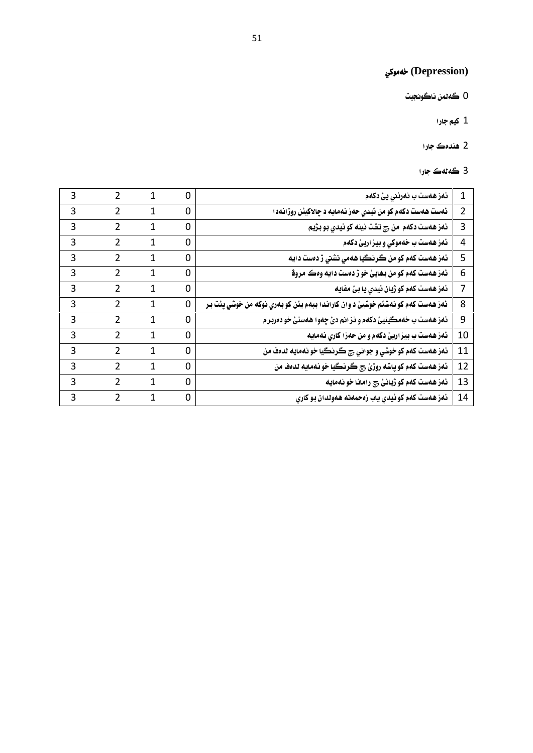# (Depression**) خهموکي**<br>0 ڪهڻمن ناڪونجيت (Depression)<br>0 ڪُهڻمن ناڪُونجيت<br>1 کيم جارا pression)<br>1 ڪهڻمن نه<br>2 هندهڪ ج

- 0 گەلمن ناگون<br>1 كيم جارا<br>2 ھندەك جارا<br>3 گەلەك جارا
	-
	-
	-

|                | 1 کیم جارا                                                                     |             |              |                |   |
|----------------|--------------------------------------------------------------------------------|-------------|--------------|----------------|---|
|                | 2 ھندەك جارا                                                                   |             |              |                |   |
|                | 3 گەنەك جارا                                                                   |             |              |                |   |
| $\mathbf{1}$   | ئەز <i>ھەست ب نەرئنى يئ د</i> كەم                                              | $\mathbf 0$ | 1            | $\overline{2}$ | 3 |
| $\overline{2}$ | ئەست ھەست دكەم كو من ئيدي حەز نەمايە د چالاكيئن روژانەدا                       | $\mathbf 0$ | $\mathbf{1}$ | $\overline{2}$ | 3 |
| 3              | ئەز ھەست دكەم  من چ تشت نينه كو ئيدي بو بژيم                                   | $\mathbf 0$ | 1            | $\overline{2}$ | 3 |
| $\overline{4}$ | ئمز همست ب خهموکي و بيز اريئ دکهم                                              | $\mathbf 0$ | $\mathbf 1$  | $\overline{2}$ | 3 |
| 5              | ئەز ھەست كەم كو من گرنگيا ھەمى تشتى ژ دەست دايە                                | $\mathbf 0$ | 1            | $\overline{2}$ | 3 |
| 6              | ئمز همست کمم کو من بهايئ خو ژ دمست دايه وهڪ مروﭬ                               | $\pmb{0}$   | $\mathbf{1}$ | $\overline{2}$ | 3 |
| 7              | ئەز ھەست كەم كو ژيان ئيدى يا بئ مفايه                                          | $\mathbf 0$ | 1            | $\overline{2}$ | 3 |
| 8              | ئهز ههست کهم کو نهشئم خوشيئ د وان کاراندا ببهم يئن کو بهري نوکه من خوشي پئت بر | $\mathbf 0$ | $\mathbf{1}$ | $\overline{2}$ | 3 |
| $9$            | ئهز ههست ب خهمگينيئ دکهم و نز انم دئ چهوا ههستئ خو دهربر م                     | $\mathbf 0$ | $\mathbf 1$  | $\overline{2}$ | 3 |
| 10             | ئەز ھەست ب بيز اريئ دكەم و من حەزا كارى نەمايە                                 | $\mathbf 0$ | 1            | $\overline{2}$ | 3 |
| 11             | ئمز همست کمم کو خوشي و جواني چ ڪرنڪيا خو نممايه لدمف من                        | $\pmb{0}$   | 1            | $\overline{2}$ | 3 |
| 12             | ئەز ھەست كەم كو پاشە روژئ چ گرنگيا خو نەمايە لدەف من                           | $\mathbf 0$ | 1            | $\overline{2}$ | 3 |
| 13             | ئەز ھەست كەم كو ژيانئ چ رامانا خو نەمايە                                       | $\mathbf 0$ | $\mathbf{1}$ | $\overline{2}$ | 3 |
| 14             | ئەز ھەست كەم كو ئيدى ياب زەحمەتە ھەولدان بو كارى                               | $\mathbf 0$ | $\mathbf{1}$ | $\overline{2}$ | 3 |